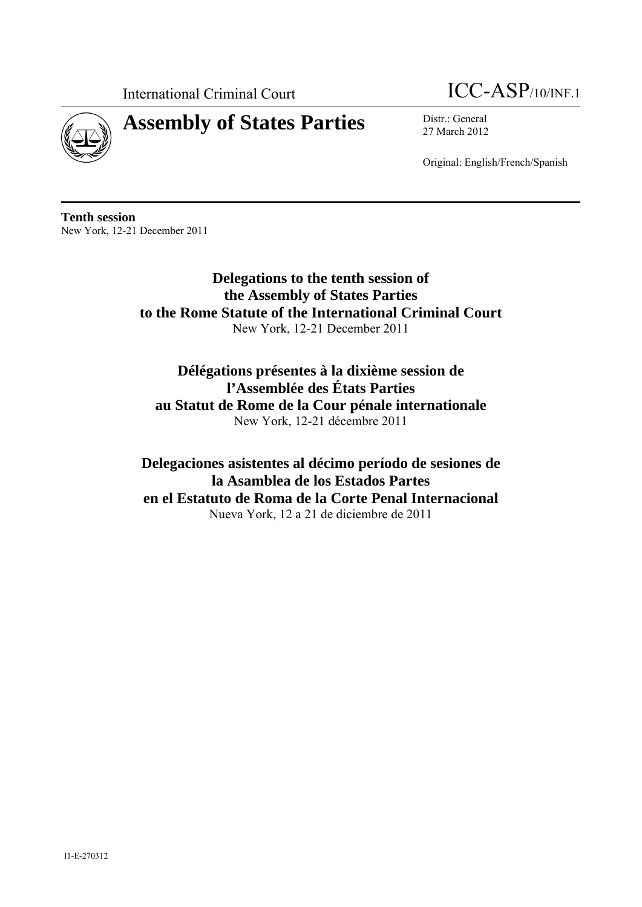

# **Assembly of States Parties** Distr.: General



27 March 2012

Original: English/French/Spanish

**Tenth session**  New York, 12-21 December 2011

> **Delegations to the tenth session of the Assembly of States Parties to the Rome Statute of the International Criminal Court**  New York, 12-21 December 2011

**Délégations présentes à la dixième session de l'Assemblée des États Parties au Statut de Rome de la Cour pénale internationale**  New York, 12-21 décembre 2011

**Delegaciones asistentes al décimo período de sesiones de la Asamblea de los Estados Partes en el Estatuto de Roma de la Corte Penal Internacional**  Nueva York, 12 a 21 de diciembre de 2011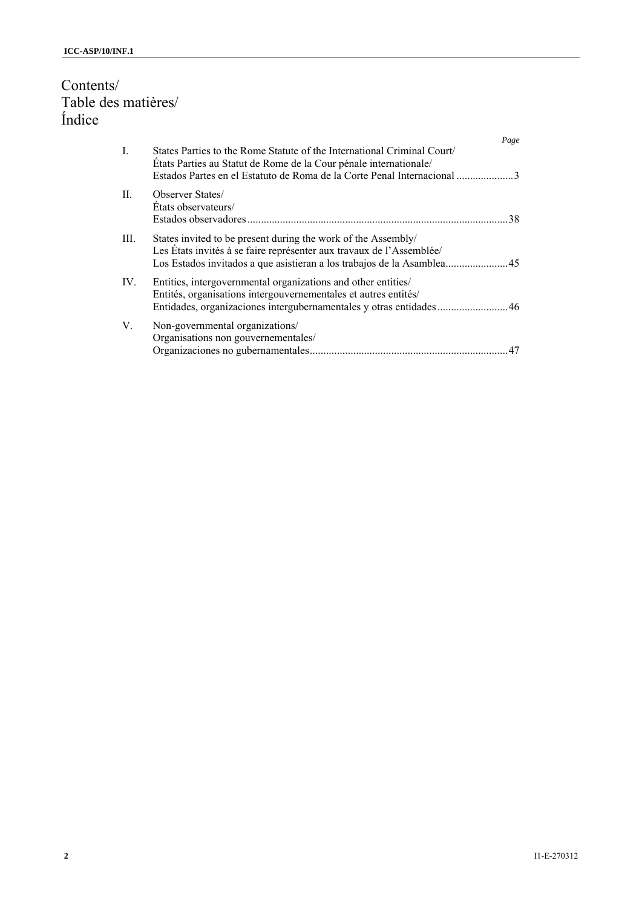# Contents/ Table des matières/ Índice

|                |                                                                                                                                                                                                                        | Page |
|----------------|------------------------------------------------------------------------------------------------------------------------------------------------------------------------------------------------------------------------|------|
| $\mathbf{I}$ . | States Parties to the Rome Statute of the International Criminal Court<br>États Parties au Statut de Rome de la Cour pénale internationale/<br>Estados Partes en el Estatuto de Roma de la Corte Penal Internacional 3 |      |
| H.             | <b>Observer States</b><br>Etats observateurs/                                                                                                                                                                          | 38   |
| III.           | States invited to be present during the work of the Assembly/<br>Les États invités à se faire représenter aux travaux de l'Assemblée/                                                                                  |      |
| IV.            | Entities, intergovernmental organizations and other entities/<br>Entités, organisations intergouvernementales et autres entités/<br>Entidades, organizaciones intergubernamentales y otras entidades46                 |      |
| V.             | Non-governmental organizations/<br>Organisations non gouvernementales/<br>Organizaciones no gubernamentales                                                                                                            | 47   |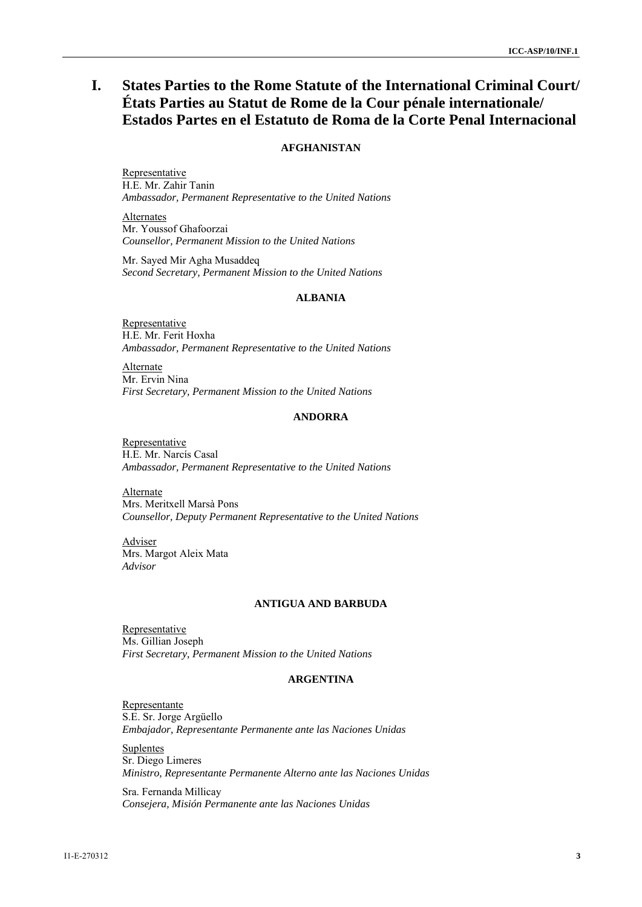# **I. States Parties to the Rome Statute of the International Criminal Court/ États Parties au Statut de Rome de la Cour pénale internationale/ Estados Partes en el Estatuto de Roma de la Corte Penal Internacional**

# **AFGHANISTAN**

Representative H.E. Mr. Zahir Tanin *Ambassador, Permanent Representative to the United Nations* 

**Alternates** Mr. Youssof Ghafoorzai *Counsellor, Permanent Mission to the United Nations* 

Mr. Sayed Mir Agha Musaddeq *Second Secretary, Permanent Mission to the United Nations* 

#### **ALBANIA**

Representative H.E. Mr. Ferit Hoxha *Ambassador, Permanent Representative to the United Nations* 

**Alternate** Mr. Ervin Nina *First Secretary, Permanent Mission to the United Nations* 

#### **ANDORRA**

Representative H.E. Mr. Narcís Casal *Ambassador, Permanent Representative to the United Nations* 

Alternate Mrs. Meritxell Marsà Pons *Counsellor, Deputy Permanent Representative to the United Nations* 

Adviser Mrs. Margot Aleix Mata *Advisor* 

#### **ANTIGUA AND BARBUDA**

Representative Ms. Gillian Joseph *First Secretary, Permanent Mission to the United Nations* 

# **ARGENTINA**

Representante S.E. Sr. Jorge Argüello *Embajador, Representante Permanente ante las Naciones Unidas* 

**Suplentes** Sr. Diego Limeres *Ministro, Representante Permanente Alterno ante las Naciones Unidas* 

Sra. Fernanda Millicay *Consejera, Misión Permanente ante las Naciones Unidas*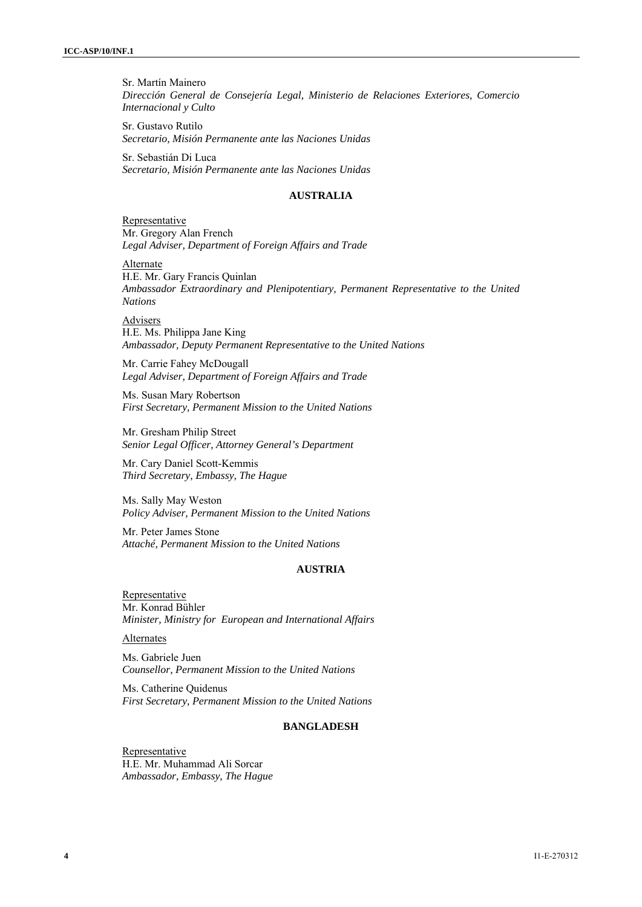Sr. Martín Mainero *Dirección General de Consejería Legal, Ministerio de Relaciones Exteriores, Comercio Internacional y Culto* 

Sr. Gustavo Rutilo *Secretario, Misión Permanente ante las Naciones Unidas* 

Sr. Sebastián Di Luca *Secretario, Misión Permanente ante las Naciones Unidas* 

## **AUSTRALIA**

**Representative** Mr. Gregory Alan French *Legal Adviser, Department of Foreign Affairs and Trade* 

**Alternate** H.E. Mr. Gary Francis Quinlan *Ambassador Extraordinary and Plenipotentiary, Permanent Representative to the United Nations* 

Advisers H.E. Ms. Philippa Jane King *Ambassador, Deputy Permanent Representative to the United Nations* 

Mr. Carrie Fahey McDougall *Legal Adviser, Department of Foreign Affairs and Trade* 

Ms. Susan Mary Robertson *First Secretary, Permanent Mission to the United Nations* 

Mr. Gresham Philip Street *Senior Legal Officer, Attorney General's Department* 

Mr. Cary Daniel Scott-Kemmis *Third Secretary, Embassy, The Hague* 

Ms. Sally May Weston *Policy Adviser, Permanent Mission to the United Nations* 

Mr. Peter James Stone *Attaché, Permanent Mission to the United Nations* 

# **AUSTRIA**

**Representative** Mr. Konrad Bühler *Minister, Ministry for European and International Affairs* 

Alternates

Ms. Gabriele Juen *Counsellor, Permanent Mission to the United Nations* 

Ms. Catherine Quidenus *First Secretary, Permanent Mission to the United Nations* 

# **BANGLADESH**

Representative H.E. Mr. Muhammad Ali Sorcar *Ambassador, Embassy, The Hague*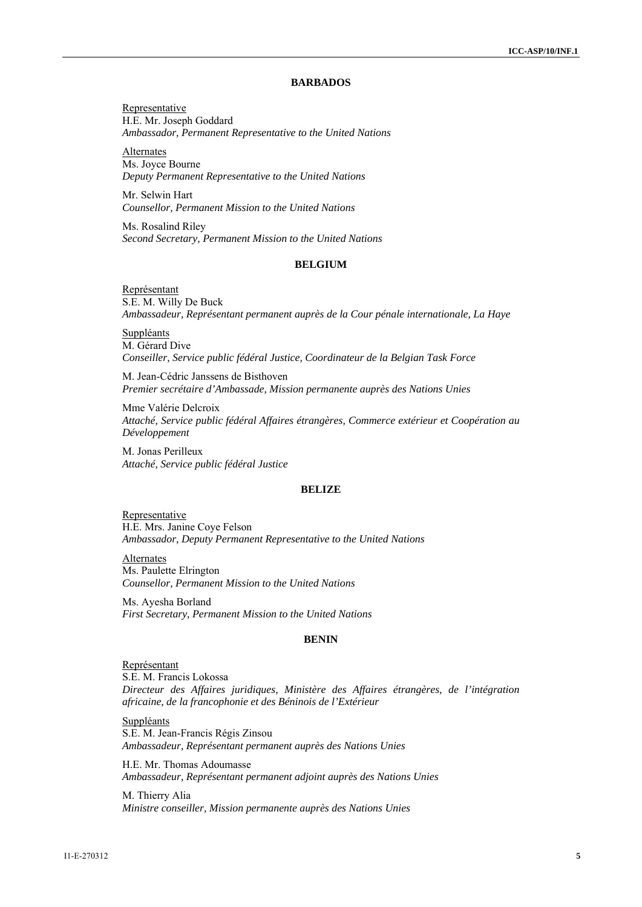#### **BARBADOS**

Representative H.E. Mr. Joseph Goddard *Ambassador, Permanent Representative to the United Nations* 

Alternates Ms. Joyce Bourne *Deputy Permanent Representative to the United Nations* 

Mr. Selwin Hart *Counsellor, Permanent Mission to the United Nations* 

Ms. Rosalind Riley *Second Secretary, Permanent Mission to the United Nations* 

# **BELGIUM**

Représentant S.E. M. Willy De Buck *Ambassadeur, Représentant permanent auprès de la Cour pénale internationale, La Haye* 

**Suppléants** M. Gérard Dive *Conseiller, Service public fédéral Justice, Coordinateur de la Belgian Task Force* 

M. Jean-Cédric Janssens de Bisthoven *Premier secrétaire d'Ambassade, Mission permanente auprès des Nations Unies* 

Mme Valérie Delcroix *Attaché, Service public fédéral Affaires étrangères, Commerce extérieur et Coopération au Développement* 

M. Jonas Perilleux *Attaché, Service public fédéral Justice* 

#### **BELIZE**

Representative H.E. Mrs. Janine Coye Felson *Ambassador, Deputy Permanent Representative to the United Nations* 

**Alternates** Ms. Paulette Elrington *Counsellor, Permanent Mission to the United Nations* 

Ms. Ayesha Borland *First Secretary, Permanent Mission to the United Nations* 

#### **BENIN**

Représentant S.E. M. Francis Lokossa *Directeur des Affaires juridiques, Ministère des Affaires étrangères, de l'intégration africaine, de la francophonie et des Béninois de l'Extérieur* 

**Suppléants** S.E. M. Jean-Francis Régis Zinsou *Ambassadeur, Représentant permanent auprès des Nations Unies* 

H.E. Mr. Thomas Adoumasse *Ambassadeur, Représentant permanent adjoint auprès des Nations Unies* 

M. Thierry Alia *Ministre conseiller, Mission permanente auprès des Nations Unies*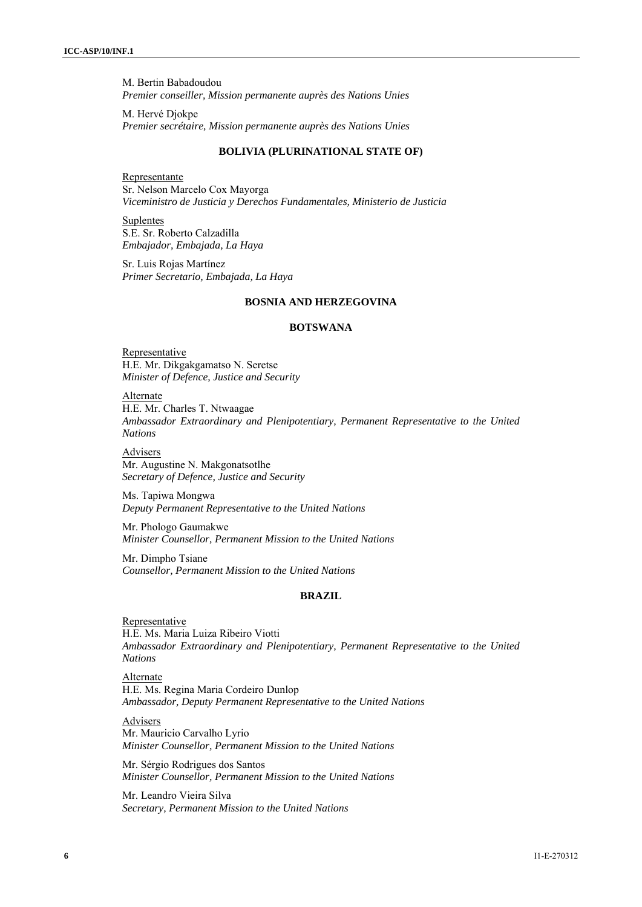M. Bertin Babadoudou *Premier conseiller, Mission permanente auprès des Nations Unies* 

M. Hervé Djokpe *Premier secrétaire, Mission permanente auprès des Nations Unies* 

#### **BOLIVIA (PLURINATIONAL STATE OF)**

Representante Sr. Nelson Marcelo Cox Mayorga *Viceministro de Justicia y Derechos Fundamentales, Ministerio de Justicia* 

Suplentes S.E. Sr. Roberto Calzadilla *Embajador, Embajada, La Haya* 

Sr. Luis Rojas Martínez *Primer Secretario, Embajada, La Haya* 

### **BOSNIA AND HERZEGOVINA**

# **BOTSWANA**

**Representative** H.E. Mr. Dikgakgamatso N. Seretse *Minister of Defence, Justice and Security* 

Alternate H.E. Mr. Charles T. Ntwaagae *Ambassador Extraordinary and Plenipotentiary, Permanent Representative to the United Nations*

Advisers Mr. Augustine N. Makgonatsotlhe *Secretary of Defence, Justice and Security* 

Ms. Tapiwa Mongwa *Deputy Permanent Representative to the United Nations* 

Mr. Phologo Gaumakwe *Minister Counsellor, Permanent Mission to the United Nations*

Mr. Dimpho Tsiane *Counsellor, Permanent Mission to the United Nations* 

# **BRAZIL**

Representative H.E. Ms. Maria Luiza Ribeiro Viotti *Ambassador Extraordinary and Plenipotentiary, Permanent Representative to the United Nations* 

Alternate H.E. Ms. Regina Maria Cordeiro Dunlop *Ambassador, Deputy Permanent Representative to the United Nations* 

**Advisers** Mr. Mauricio Carvalho Lyrio *Minister Counsellor, Permanent Mission to the United Nations* 

Mr. Sérgio Rodrigues dos Santos *Minister Counsellor, Permanent Mission to the United Nations* 

Mr. Leandro Vieira Silva *Secretary, Permanent Mission to the United Nations*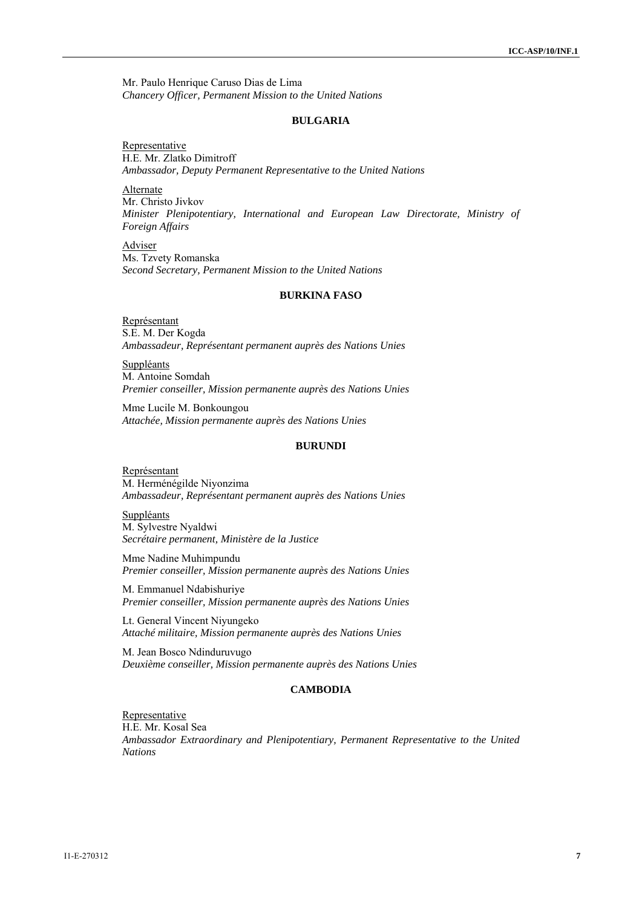Mr. Paulo Henrique Caruso Dias de Lima *Chancery Officer, Permanent Mission to the United Nations* 

#### **BULGARIA**

**Representative** H.E. Mr. Zlatko Dimitroff *Ambassador, Deputy Permanent Representative to the United Nations* 

Alternate Mr. Christo Jivkov *Minister Plenipotentiary, International and European Law Directorate, Ministry of Foreign Affairs* 

Adviser Ms. Tzvety Romanska *Second Secretary, Permanent Mission to the United Nations* 

#### **BURKINA FASO**

Représentant S.E. M. Der Kogda *Ambassadeur, Représentant permanent auprès des Nations Unies* 

**Suppléants** M. Antoine Somdah *Premier conseiller, Mission permanente auprès des Nations Unies* 

Mme Lucile M. Bonkoungou *Attachée, Mission permanente auprès des Nations Unies* 

# **BURUNDI**

Représentant M. Herménégilde Niyonzima *Ambassadeur, Représentant permanent auprès des Nations Unies* 

**Suppléants** M. Sylvestre Nyaldwi *Secrétaire permanent, Ministère de la Justice* 

Mme Nadine Muhimpundu *Premier conseiller, Mission permanente auprès des Nations Unies* 

M. Emmanuel Ndabishuriye *Premier conseiller, Mission permanente auprès des Nations Unies* 

Lt. General Vincent Niyungeko *Attaché militaire, Mission permanente auprès des Nations Unies* 

M. Jean Bosco Ndinduruvugo *Deuxième conseiller, Mission permanente auprès des Nations Unies* 

# **CAMBODIA**

**Representative** H.E. Mr. Kosal Sea *Ambassador Extraordinary and Plenipotentiary, Permanent Representative to the United Nations*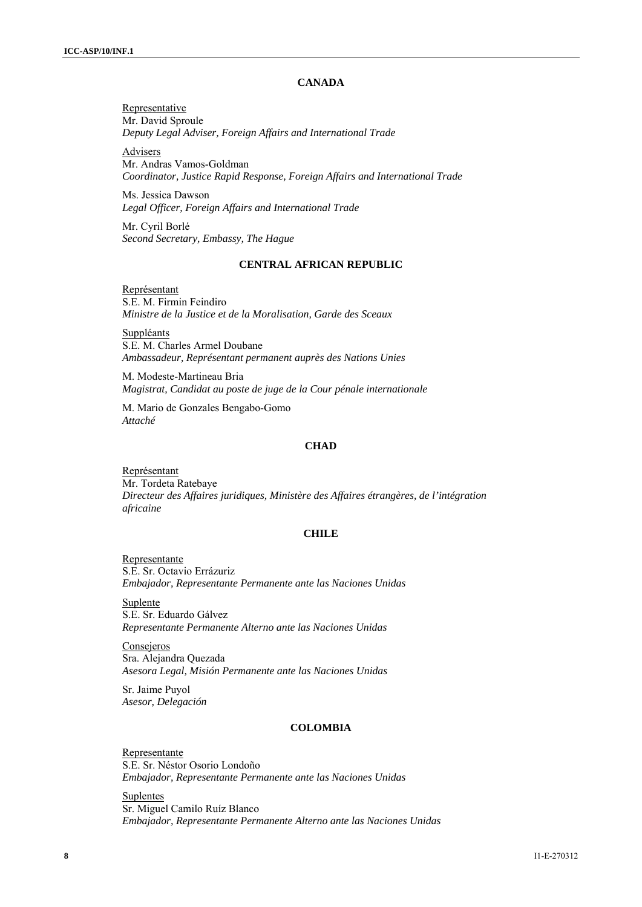## **CANADA**

Representative Mr. David Sproule *Deputy Legal Adviser, Foreign Affairs and International Trade* 

Advisers

Mr. Andras Vamos-Goldman *Coordinator, Justice Rapid Response, Foreign Affairs and International Trade* 

Ms. Jessica Dawson *Legal Officer, Foreign Affairs and International Trade* 

Mr. Cyril Borlé *Second Secretary, Embassy, The Hague* 

# **CENTRAL AFRICAN REPUBLIC**

Représentant S.E. M. Firmin Feindiro *Ministre de la Justice et de la Moralisation, Garde des Sceaux* 

**Suppléants** S.E. M. Charles Armel Doubane *Ambassadeur, Représentant permanent auprès des Nations Unies* 

M. Modeste-Martineau Bria *Magistrat, Candidat au poste de juge de la Cour pénale internationale* 

M. Mario de Gonzales Bengabo-Gomo *Attaché* 

#### **CHAD**

Représentant Mr. Tordeta Ratebaye *Directeur des Affaires juridiques, Ministère des Affaires étrangères, de l'intégration africaine* 

#### **CHILE**

Representante S.E. Sr. Octavio Errázuriz *Embajador, Representante Permanente ante las Naciones Unidas* 

Suplente S.E. Sr. Eduardo Gálvez *Representante Permanente Alterno ante las Naciones Unidas* 

Consejeros Sra. Alejandra Quezada *Asesora Legal, Misión Permanente ante las Naciones Unidas* 

Sr. Jaime Puyol *Asesor, Delegación* 

# **COLOMBIA**

Representante S.E. Sr. Néstor Osorio Londoño *Embajador, Representante Permanente ante las Naciones Unidas* 

Suplentes Sr. Miguel Camilo Ruíz Blanco *Embajador, Representante Permanente Alterno ante las Naciones Unidas*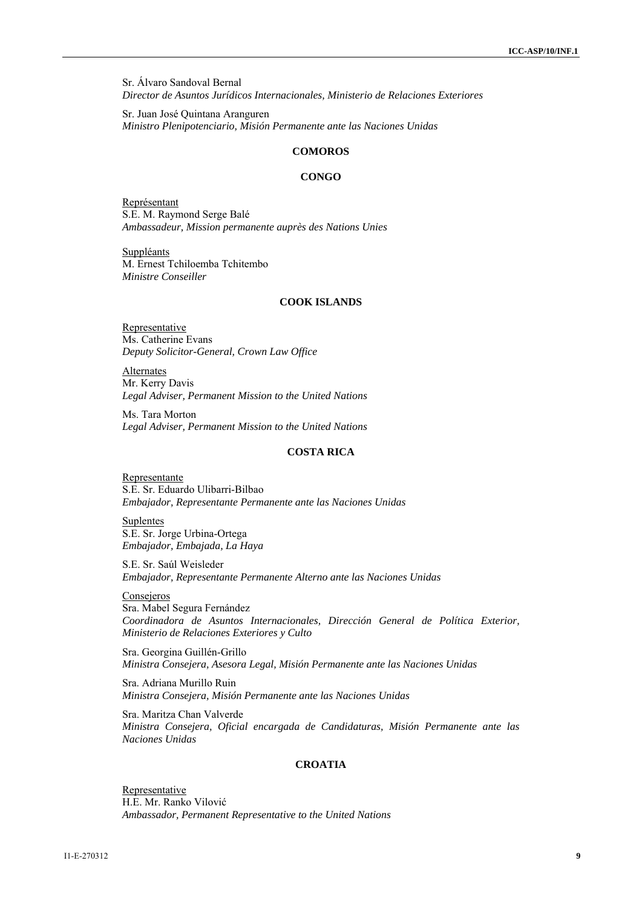Sr. Álvaro Sandoval Bernal *Director de Asuntos Jurídicos Internacionales, Ministerio de Relaciones Exteriores* 

Sr. Juan José Quintana Aranguren *Ministro Plenipotenciario, Misión Permanente ante las Naciones Unidas* 

# **COMOROS**

#### **CONGO**

Représentant S.E. M. Raymond Serge Balé *Ambassadeur, Mission permanente auprès des Nations Unies* 

Suppléants M. Ernest Tchiloemba Tchitembo *Ministre Conseiller* 

### **COOK ISLANDS**

**Representative** Ms. Catherine Evans *Deputy Solicitor-General, Crown Law Office* 

**Alternates** Mr. Kerry Davis *Legal Adviser, Permanent Mission to the United Nations* 

Ms. Tara Morton *Legal Adviser, Permanent Mission to the United Nations* 

# **COSTA RICA**

Representante S.E. Sr. Eduardo Ulibarri-Bilbao *Embajador, Representante Permanente ante las Naciones Unidas* 

**Suplentes** S.E. Sr. Jorge Urbina-Ortega *Embajador, Embajada, La Haya* 

S.E. Sr. Saúl Weisleder *Embajador, Representante Permanente Alterno ante las Naciones Unidas* 

Consejeros

Sra. Mabel Segura Fernández *Coordinadora de Asuntos Internacionales, Dirección General de Política Exterior, Ministerio de Relaciones Exteriores y Culto* 

Sra. Georgina Guillén-Grillo *Ministra Consejera, Asesora Legal, Misión Permanente ante las Naciones Unidas* 

Sra. Adriana Murillo Ruin *Ministra Consejera, Misión Permanente ante las Naciones Unidas* 

Sra. Maritza Chan Valverde *Ministra Consejera, Oficial encargada de Candidaturas, Misión Permanente ante las Naciones Unidas* 

#### **CROATIA**

Representative H.E. Mr. Ranko Vilović *Ambassador, Permanent Representative to the United Nations*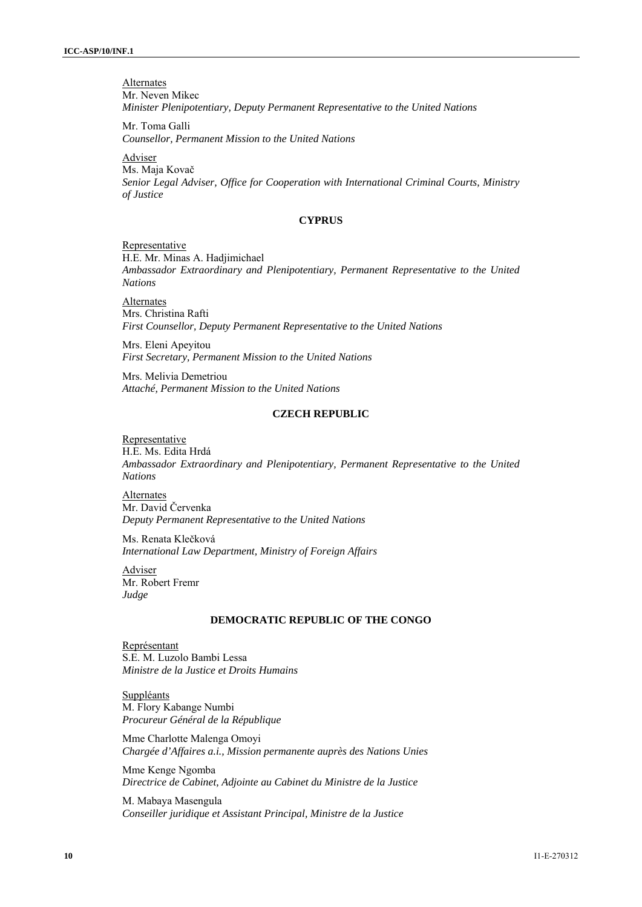**Alternates** Mr. Neven Mikec *Minister Plenipotentiary, Deputy Permanent Representative to the United Nations* 

Mr. Toma Galli *Counsellor, Permanent Mission to the United Nations* 

Adviser

Ms. Maja Kovač *Senior Legal Adviser, Office for Cooperation with International Criminal Courts, Ministry of Justice* 

#### **CYPRUS**

# Representative

H.E. Mr. Minas A. Hadjimichael *Ambassador Extraordinary and Plenipotentiary, Permanent Representative to the United Nations* 

Alternates Mrs. Christina Rafti *First Counsellor, Deputy Permanent Representative to the United Nations* 

Mrs. Eleni Apeyitou *First Secretary, Permanent Mission to the United Nations* 

Mrs. Melivia Demetriou *Attaché, Permanent Mission to the United Nations* 

# **CZECH REPUBLIC**

#### Representative

H.E. Ms. Edita Hrdá *Ambassador Extraordinary and Plenipotentiary, Permanent Representative to the United Nations* 

Alternates Mr. David Červenka *Deputy Permanent Representative to the United Nations* 

Ms. Renata Klečková *International Law Department, Ministry of Foreign Affairs* 

Adviser Mr. Robert Fremr *Judge* 

#### **DEMOCRATIC REPUBLIC OF THE CONGO**

Représentant S.E. M. Luzolo Bambi Lessa *Ministre de la Justice et Droits Humains* 

Suppléants M. Flory Kabange Numbi *Procureur Général de la République* 

Mme Charlotte Malenga Omoyi *Chargée d'Affaires a.i., Mission permanente auprès des Nations Unies* 

Mme Kenge Ngomba *Directrice de Cabinet, Adjointe au Cabinet du Ministre de la Justice* 

M. Mabaya Masengula *Conseiller juridique et Assistant Principal, Ministre de la Justice*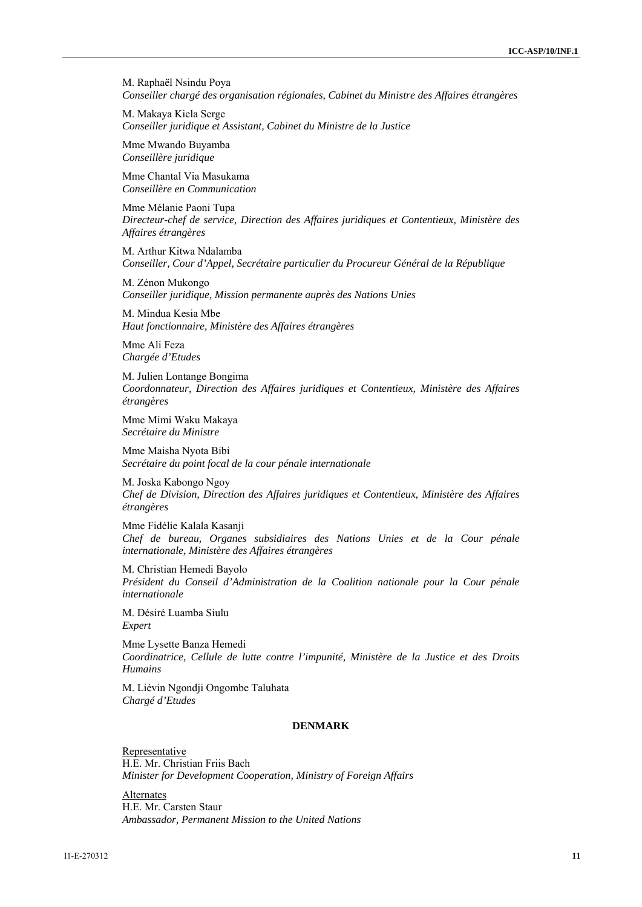M. Raphaël Nsindu Poya *Conseiller chargé des organisation régionales, Cabinet du Ministre des Affaires étrangères* 

M. Makaya Kiela Serge *Conseiller juridique et Assistant, Cabinet du Ministre de la Justice* 

Mme Mwando Buyamba *Conseillère juridique* 

Mme Chantal Via Masukama *Conseillère en Communication* 

Mme Mélanie Paoni Tupa *Directeur-chef de service, Direction des Affaires juridiques et Contentieux, Ministère des Affaires étrangères* 

M. Arthur Kitwa Ndalamba *Conseiller, Cour d'Appel, Secrétaire particulier du Procureur Général de la République* 

M. Zénon Mukongo *Conseiller juridique, Mission permanente auprès des Nations Unies* 

M. Mindua Kesia Mbe *Haut fonctionnaire, Ministère des Affaires étrangères* 

Mme Ali Feza *Chargée d'Etudes* 

M. Julien Lontange Bongima *Coordonnateur, Direction des Affaires juridiques et Contentieux, Ministère des Affaires étrangères* 

Mme Mimi Waku Makaya *Secrétaire du Ministre* 

Mme Maisha Nyota Bibi *Secrétaire du point focal de la cour pénale internationale* 

M. Joska Kabongo Ngoy *Chef de Division, Direction des Affaires juridiques et Contentieux, Ministère des Affaires étrangères* 

Mme Fidélie Kalala Kasanji *Chef de bureau, Organes subsidiaires des Nations Unies et de la Cour pénale internationale, Ministère des Affaires étrangères* 

M. Christian Hemedi Bayolo *Président du Conseil d'Administration de la Coalition nationale pour la Cour pénale internationale* 

M. Désiré Luamba Siulu *Expert* 

Mme Lysette Banza Hemedi *Coordinatrice, Cellule de lutte contre l'impunité, Ministère de la Justice et des Droits Humains* 

M. Liévin Ngondji Ongombe Taluhata *Chargé d'Etudes* 

# **DENMARK**

Representative H.E. Mr. Christian Friis Bach *Minister for Development Cooperation, Ministry of Foreign Affairs* 

Alternates H.E. Mr. Carsten Staur *Ambassador, Permanent Mission to the United Nations*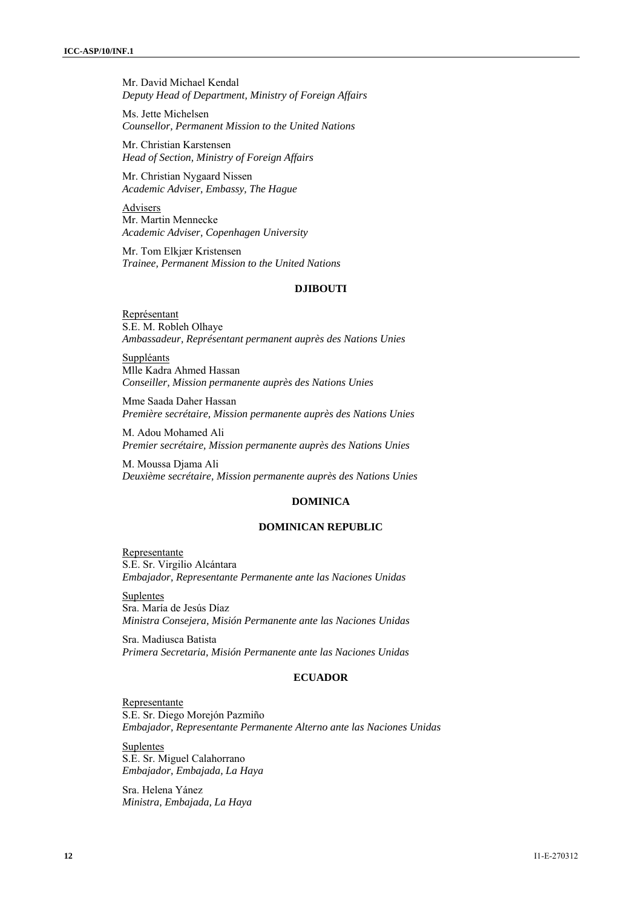Mr. David Michael Kendal *Deputy Head of Department, Ministry of Foreign Affairs*

Ms. Jette Michelsen *Counsellor, Permanent Mission to the United Nations* 

Mr. Christian Karstensen *Head of Section, Ministry of Foreign Affairs* 

Mr. Christian Nygaard Nissen *Academic Adviser, Embassy, The Hague* 

Advisers Mr. Martin Mennecke *Academic Adviser, Copenhagen University* 

Mr. Tom Elkjær Kristensen *Trainee, Permanent Mission to the United Nations* 

# **DJIBOUTI**

Représentant S.E. M. Robleh Olhaye *Ambassadeur, Représentant permanent auprès des Nations Unies* 

**Suppléants** Mlle Kadra Ahmed Hassan *Conseiller, Mission permanente auprès des Nations Unies* 

Mme Saada Daher Hassan *Première secrétaire, Mission permanente auprès des Nations Unies* 

M. Adou Mohamed Ali *Premier secrétaire, Mission permanente auprès des Nations Unies* 

M. Moussa Djama Ali *Deuxième secrétaire, Mission permanente auprès des Nations Unies* 

#### **DOMINICA**

### **DOMINICAN REPUBLIC**

Representante S.E. Sr. Virgilio Alcántara *Embajador, Representante Permanente ante las Naciones Unidas* 

Suplentes Sra. María de Jesús Díaz *Ministra Consejera, Misión Permanente ante las Naciones Unidas* 

Sra. Madiusca Batista *Primera Secretaria, Misión Permanente ante las Naciones Unidas* 

# **ECUADOR**

Representante S.E. Sr. Diego Morejón Pazmiño *Embajador, Representante Permanente Alterno ante las Naciones Unidas* 

**Suplentes** S.E. Sr. Miguel Calahorrano *Embajador, Embajada, La Haya* 

Sra. Helena Yánez *Ministra, Embajada, La Haya*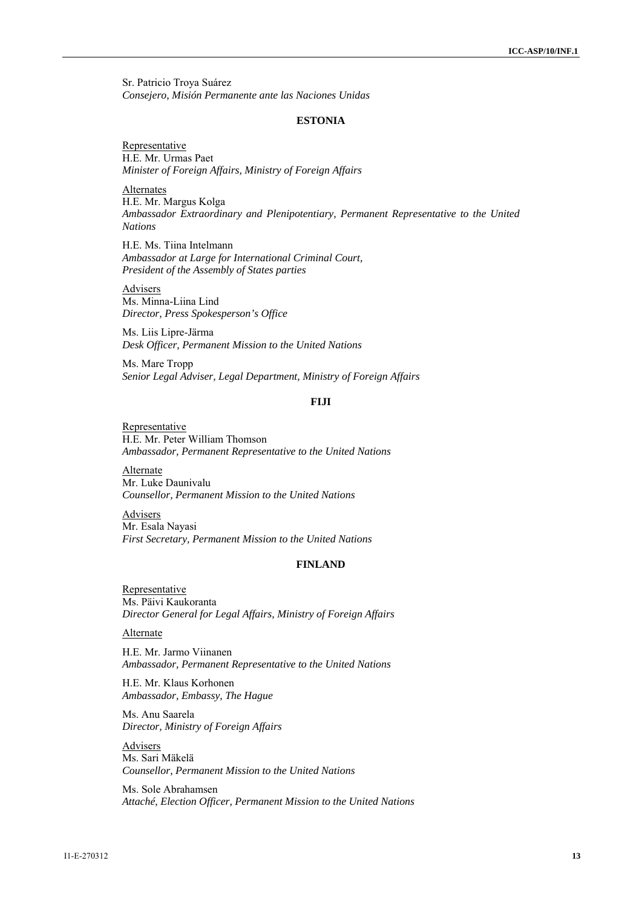Sr. Patricio Troya Suárez *Consejero, Misión Permanente ante las Naciones Unidas* 

#### **ESTONIA**

**Representative** H.E. Mr. Urmas Paet *Minister of Foreign Affairs, Ministry of Foreign Affairs* 

**Alternates** H.E. Mr. Margus Kolga *Ambassador Extraordinary and Plenipotentiary, Permanent Representative to the United Nations* 

H.E. Ms. Tiina Intelmann *Ambassador at Large for International Criminal Court, President of the Assembly of States parties* 

Advisers Ms. Minna-Liina Lind *Director, Press Spokesperson's Office* 

Ms. Liis Lipre-Järma *Desk Officer, Permanent Mission to the United Nations* 

Ms. Mare Tropp *Senior Legal Adviser, Legal Department, Ministry of Foreign Affairs* 

#### **FIJI**

Representative H.E. Mr. Peter William Thomson *Ambassador, Permanent Representative to the United Nations* 

Alternate Mr. Luke Daunivalu *Counsellor, Permanent Mission to the United Nations* 

Advisers Mr. Esala Nayasi *First Secretary, Permanent Mission to the United Nations* 

# **FINLAND**

Representative Ms. Päivi Kaukoranta *Director General for Legal Affairs, Ministry of Foreign Affairs* 

# Alternate

H.E. Mr. Jarmo Viinanen *Ambassador, Permanent Representative to the United Nations* 

H.E. Mr. Klaus Korhonen *Ambassador, Embassy, The Hague* 

Ms. Anu Saarela *Director, Ministry of Foreign Affairs* 

**Advisers** Ms. Sari Mäkelä *Counsellor, Permanent Mission to the United Nations* 

Ms. Sole Abrahamsen *Attaché, Election Officer, Permanent Mission to the United Nations*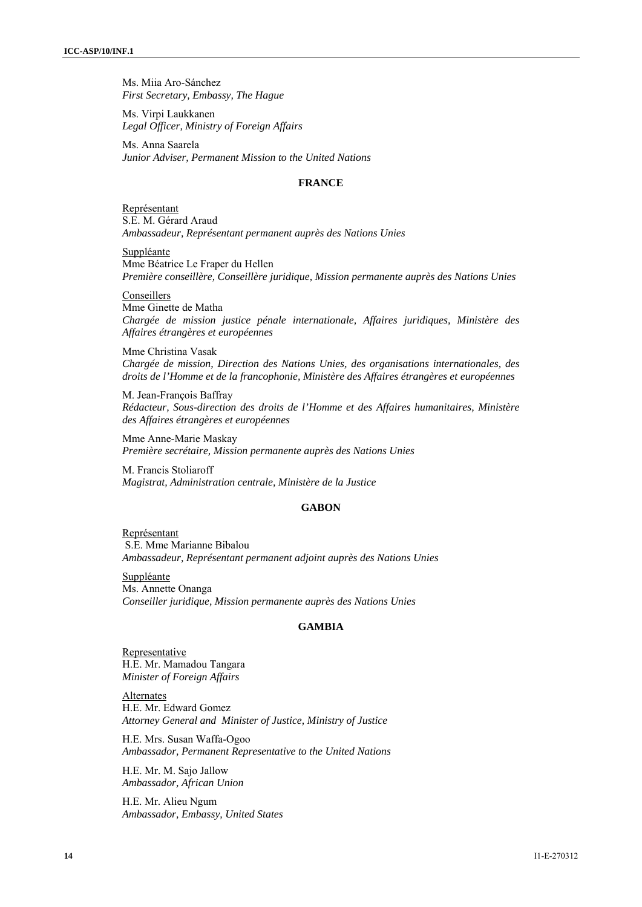Ms. Miia Aro-Sánchez *First Secretary, Embassy, The Hague* 

Ms. Virpi Laukkanen *Legal Officer, Ministry of Foreign Affairs* 

Ms. Anna Saarela *Junior Adviser, Permanent Mission to the United Nations* 

# **FRANCE**

Représentant S.E. M. Gérard Araud *Ambassadeur, Représentant permanent auprès des Nations Unies* 

Suppléante Mme Béatrice Le Fraper du Hellen *Première conseillère, Conseillère juridique, Mission permanente auprès des Nations Unies* 

Conseillers

Mme Ginette de Matha *Chargée de mission justice pénale internationale, Affaires juridiques, Ministère des Affaires étrangères et européennes* 

Mme Christina Vasak *Chargée de mission, Direction des Nations Unies, des organisations internationales, des droits de l'Homme et de la francophonie, Ministère des Affaires étrangères et européennes* 

M. Jean-François Baffray *Rédacteur, Sous-direction des droits de l'Homme et des Affaires humanitaires, Ministère des Affaires étrangères et européennes* 

Mme Anne-Marie Maskay *Première secrétaire, Mission permanente auprès des Nations Unies* 

M. Francis Stoliaroff *Magistrat, Administration centrale, Ministère de la Justice* 

#### **GABON**

Représentant S.E. Mme Marianne Bibalou *Ambassadeur, Représentant permanent adjoint auprès des Nations Unies*

Suppléante Ms. Annette Onanga *Conseiller juridique, Mission permanente auprès des Nations Unies*

#### **GAMBIA**

**Representative** H.E. Mr. Mamadou Tangara *Minister of Foreign Affairs* 

Alternates H.E. Mr. Edward Gomez *Attorney General and Minister of Justice, Ministry of Justice* 

H.E. Mrs. Susan Waffa-Ogoo *Ambassador, Permanent Representative to the United Nations* 

H.E. Mr. M. Sajo Jallow *Ambassador, African Union* 

H.E. Mr. Alieu Ngum *Ambassador, Embassy, United States*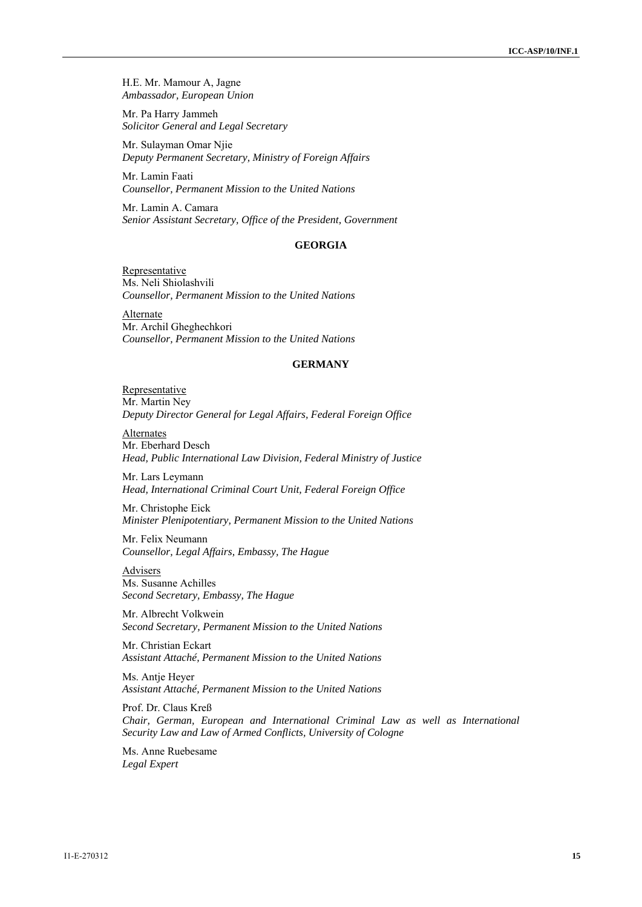H.E. Mr. Mamour A, Jagne *Ambassador, European Union* 

Mr. Pa Harry Jammeh *Solicitor General and Legal Secretary* 

Mr. Sulayman Omar Njie *Deputy Permanent Secretary, Ministry of Foreign Affairs*

Mr. Lamin Faati *Counsellor, Permanent Mission to the United Nations* 

Mr. Lamin A. Camara *Senior Assistant Secretary, Office of the President, Government* 

# **GEORGIA**

Representative Ms. Neli Shiolashvili *Counsellor, Permanent Mission to the United Nations* 

Alternate Mr. Archil Gheghechkori *Counsellor, Permanent Mission to the United Nations* 

#### **GERMANY**

Representative Mr. Martin Ney *Deputy Director General for Legal Affairs, Federal Foreign Office* 

Alternates Mr. Eberhard Desch *Head, Public International Law Division, Federal Ministry of Justice* 

Mr. Lars Leymann *Head, International Criminal Court Unit, Federal Foreign Office* 

Mr. Christophe Eick *Minister Plenipotentiary, Permanent Mission to the United Nations* 

Mr. Felix Neumann *Counsellor, Legal Affairs, Embassy, The Hague* 

Advisers Ms. Susanne Achilles *Second Secretary, Embassy, The Hague* 

Mr. Albrecht Volkwein *Second Secretary, Permanent Mission to the United Nations* 

Mr. Christian Eckart *Assistant Attaché, Permanent Mission to the United Nations* 

Ms. Antje Heyer *Assistant Attaché, Permanent Mission to the United Nations* 

Prof. Dr. Claus Kreß *Chair, German, European and International Criminal Law as well as International Security Law and Law of Armed Conflicts, University of Cologne* 

Ms. Anne Ruebesame *Legal Expert*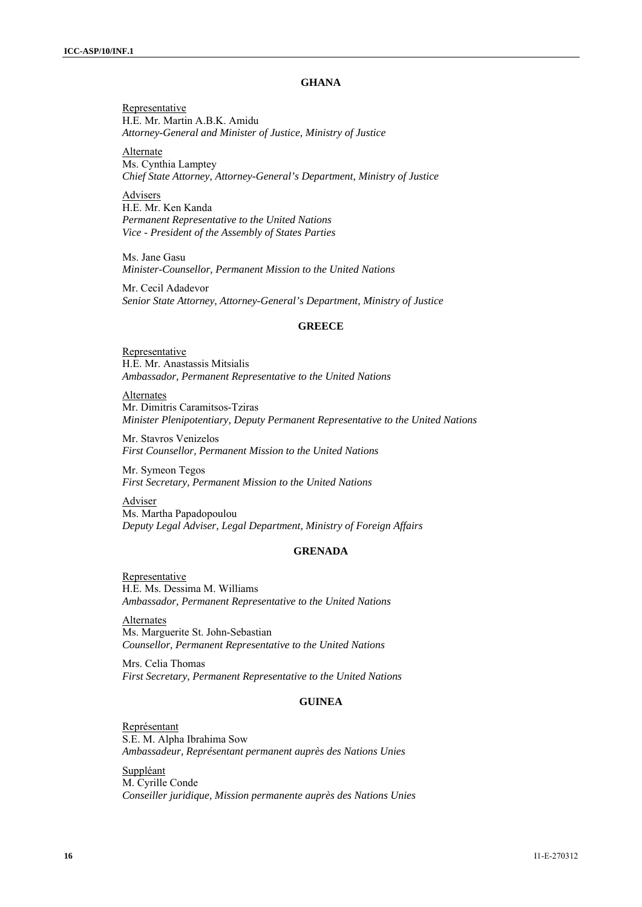## **GHANA**

Representative H.E. Mr. Martin A.B.K. Amidu *Attorney-General and Minister of Justice, Ministry of Justice* 

Alternate Ms. Cynthia Lamptey *Chief State Attorney, Attorney-General's Department, Ministry of Justice* 

Advisers H.E. Mr. Ken Kanda *Permanent Representative to the United Nations Vice - President of the Assembly of States Parties*

Ms. Jane Gasu *Minister-Counsellor, Permanent Mission to the United Nations* 

Mr. Cecil Adadevor *Senior State Attorney, Attorney-General's Department, Ministry of Justice* 

#### **GREECE**

**Representative** H.E. Mr. Anastassis Mitsialis *Ambassador, Permanent Representative to the United Nations* 

Alternates Mr. Dimitris Caramitsos-Tziras *Minister Plenipotentiary, Deputy Permanent Representative to the United Nations* 

Mr. Stavros Venizelos *First Counsellor, Permanent Mission to the United Nations* 

Mr. Symeon Tegos *First Secretary, Permanent Mission to the United Nations* 

Adviser Ms. Martha Papadopoulou *Deputy Legal Adviser, Legal Department, Ministry of Foreign Affairs* 

# **GRENADA**

Representative H.E. Ms. Dessima M. Williams *Ambassador, Permanent Representative to the United Nations* 

Alternates Ms. Marguerite St. John-Sebastian *Counsellor, Permanent Representative to the United Nations*

Mrs. Celia Thomas *First Secretary, Permanent Representative to the United Nations* 

# **GUINEA**

Représentant S.E. M. Alpha Ibrahima Sow *Ambassadeur, Représentant permanent auprès des Nations Unies* 

Suppléant M. Cyrille Conde *Conseiller juridique, Mission permanente auprès des Nations Unies*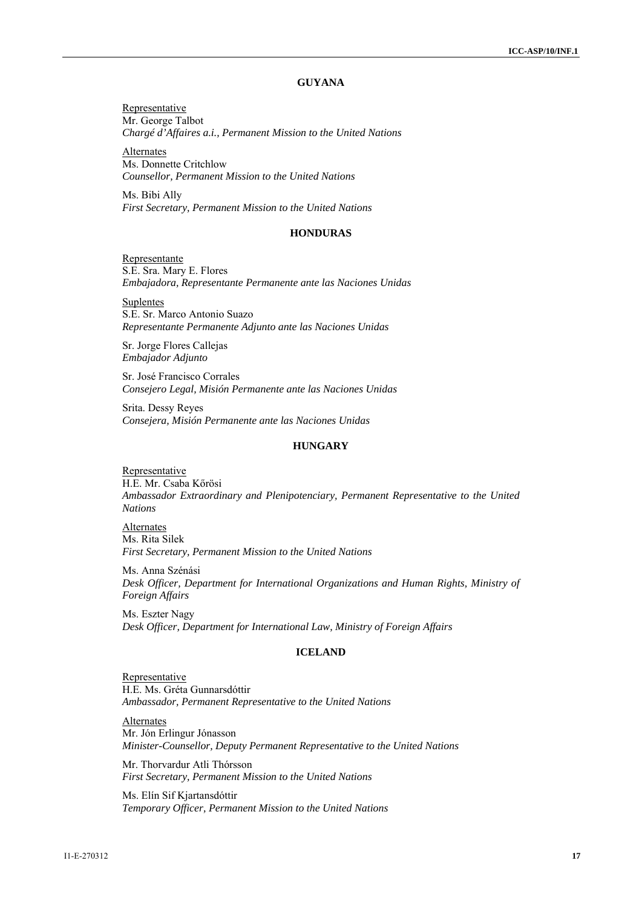# **GUYANA**

Representative Mr. George Talbot *Chargé d'Affaires a.i., Permanent Mission to the United Nations*

**Alternates** Ms. Donnette Critchlow *Counsellor, Permanent Mission to the United Nations* 

Ms. Bibi Ally *First Secretary, Permanent Mission to the United Nations* 

#### **HONDURAS**

Representante S.E. Sra. Mary E. Flores *Embajadora, Representante Permanente ante las Naciones Unidas* 

Suplentes S.E. Sr. Marco Antonio Suazo *Representante Permanente Adjunto ante las Naciones Unidas* 

Sr. Jorge Flores Callejas *Embajador Adjunto* 

Sr. José Francisco Corrales *Consejero Legal, Misión Permanente ante las Naciones Unidas* 

Srita. Dessy Reyes *Consejera, Misión Permanente ante las Naciones Unidas* 

# **HUNGARY**

Representative H.E. Mr. Csaba Kőrösi *Ambassador Extraordinary and Plenipotenciary, Permanent Representative to the United Nations* 

Alternates Ms. Rita Silek *First Secretary, Permanent Mission to the United Nations* 

Ms. Anna Szénási *Desk Officer, Department for International Organizations and Human Rights, Ministry of Foreign Affairs* 

Ms. Eszter Nagy *Desk Officer, Department for International Law, Ministry of Foreign Affairs* 

#### **ICELAND**

Representative H.E. Ms. Gréta Gunnarsdóttir *Ambassador, Permanent Representative to the United Nations* 

Alternates Mr. Jón Erlingur Jónasson *Minister-Counsellor, Deputy Permanent Representative to the United Nations* 

Mr. Thorvardur Atli Thórsson *First Secretary, Permanent Mission to the United Nations* 

Ms. Elín Sif Kjartansdóttir *Temporary Officer, Permanent Mission to the United Nations*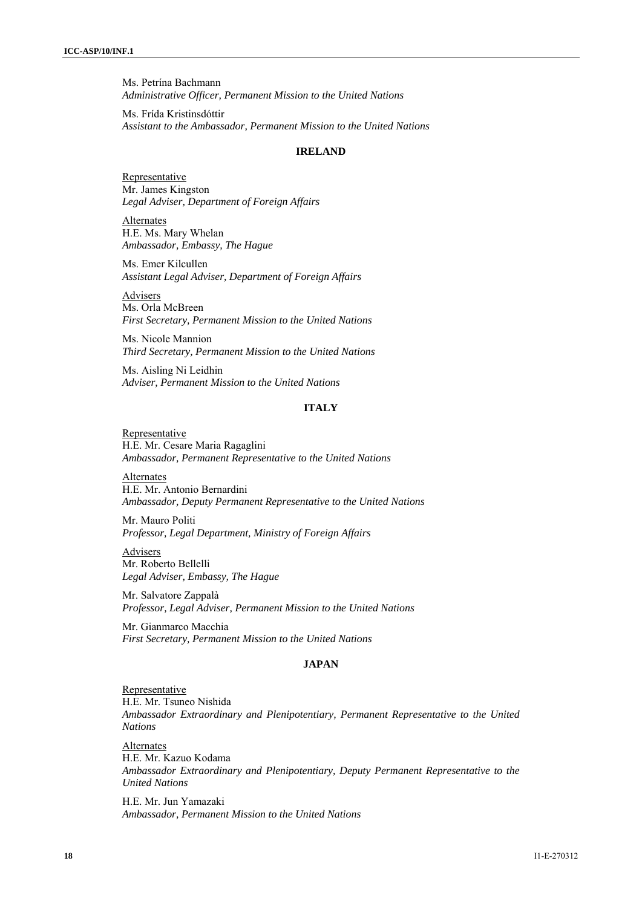Ms. Petrína Bachmann *Administrative Officer, Permanent Mission to the United Nations* 

Ms. Frída Kristinsdóttir *Assistant to the Ambassador, Permanent Mission to the United Nations* 

#### **IRELAND**

**Representative** Mr. James Kingston *Legal Adviser, Department of Foreign Affairs* 

Alternates H.E. Ms. Mary Whelan *Ambassador, Embassy, The Hague* 

Ms. Emer Kilcullen *Assistant Legal Adviser, Department of Foreign Affairs* 

Advisers Ms. Orla McBreen *First Secretary, Permanent Mission to the United Nations* 

Ms. Nicole Mannion *Third Secretary, Permanent Mission to the United Nations* 

Ms. Aisling Ni Leidhin *Adviser, Permanent Mission to the United Nations* 

# **ITALY**

**Representative** H.E. Mr. Cesare Maria Ragaglini *Ambassador, Permanent Representative to the United Nations* 

Alternates H.E. Mr. Antonio Bernardini *Ambassador, Deputy Permanent Representative to the United Nations* 

Mr. Mauro Politi *Professor, Legal Department, Ministry of Foreign Affairs* 

Advisers Mr. Roberto Bellelli *Legal Adviser, Embassy, The Hague* 

Mr. Salvatore Zappalà *Professor, Legal Adviser, Permanent Mission to the United Nations* 

Mr. Gianmarco Macchia *First Secretary, Permanent Mission to the United Nations* 

# **JAPAN**

# Representative

H.E. Mr. Tsuneo Nishida *Ambassador Extraordinary and Plenipotentiary, Permanent Representative to the United Nations* 

Alternates H.E. Mr. Kazuo Kodama *Ambassador Extraordinary and Plenipotentiary, Deputy Permanent Representative to the United Nations* 

H.E. Mr. Jun Yamazaki *Ambassador, Permanent Mission to the United Nations*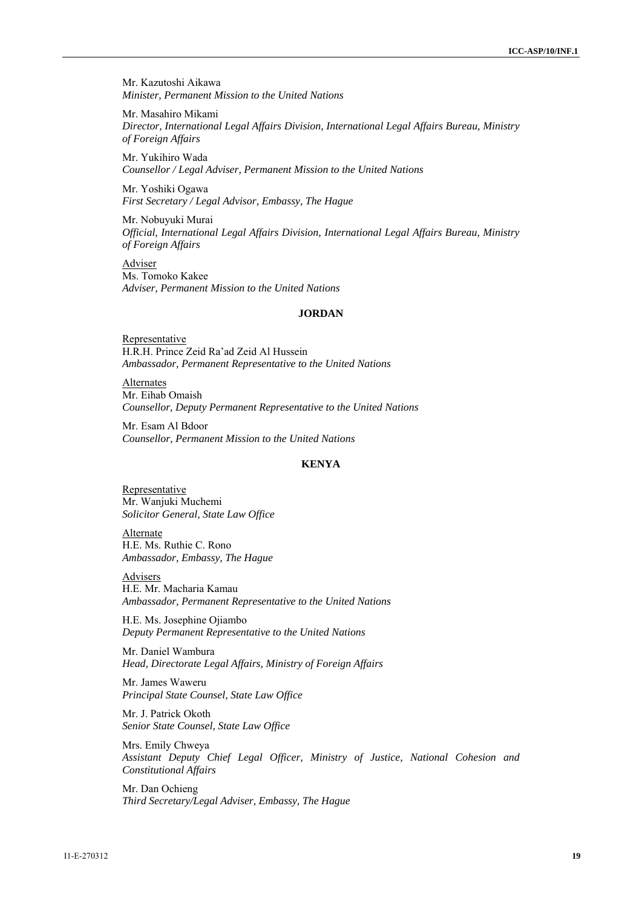Mr. Kazutoshi Aikawa *Minister, Permanent Mission to the United Nations* 

Mr. Masahiro Mikami *Director, International Legal Affairs Division, International Legal Affairs Bureau, Ministry of Foreign Affairs* 

Mr. Yukihiro Wada *Counsellor / Legal Adviser, Permanent Mission to the United Nations* 

Mr. Yoshiki Ogawa *First Secretary / Legal Advisor, Embassy, The Hague* 

Mr. Nobuyuki Murai *Official, International Legal Affairs Division, International Legal Affairs Bureau, Ministry of Foreign Affairs* 

Adviser Ms. Tomoko Kakee *Adviser, Permanent Mission to the United Nations* 

#### **JORDAN**

Representative H.R.H. Prince Zeid Ra'ad Zeid Al Hussein *Ambassador, Permanent Representative to the United Nations* 

Alternates Mr. Eihab Omaish *Counsellor, Deputy Permanent Representative to the United Nations* 

Mr. Esam Al Bdoor *Counsellor, Permanent Mission to the United Nations* 

# **KENYA**

Representative Mr. Wanjuki Muchemi *Solicitor General, State Law Office* 

Alternate H.E. Ms. Ruthie C. Rono *Ambassador, Embassy, The Hague* 

Advisers

H.E. Mr. Macharia Kamau *Ambassador, Permanent Representative to the United Nations* 

H.E. Ms. Josephine Ojiambo *Deputy Permanent Representative to the United Nations* 

Mr. Daniel Wambura *Head, Directorate Legal Affairs, Ministry of Foreign Affairs* 

Mr. James Waweru *Principal State Counsel, State Law Office* 

Mr. J. Patrick Okoth *Senior State Counsel, State Law Office* 

Mrs. Emily Chweya *Assistant Deputy Chief Legal Officer, Ministry of Justice, National Cohesion and Constitutional Affairs* 

Mr. Dan Ochieng *Third Secretary/Legal Adviser, Embassy, The Hague*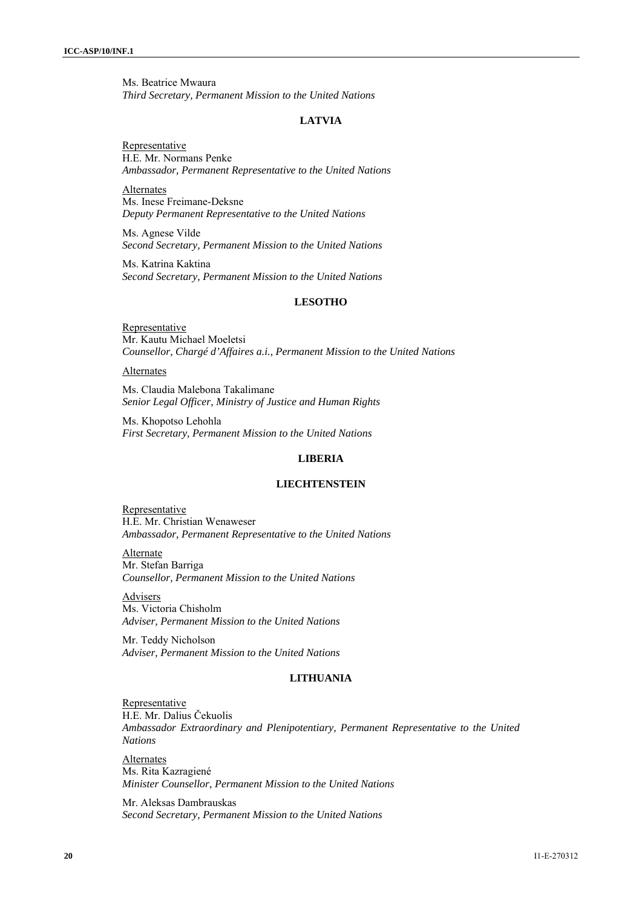Ms. Beatrice Mwaura *Third Secretary, Permanent Mission to the United Nations* 

#### **LATVIA**

**Representative** H.E. Mr. Normans Penke *Ambassador, Permanent Representative to the United Nations* 

Alternates Ms. Inese Freimane-Deksne *Deputy Permanent Representative to the United Nations* 

Ms. Agnese Vilde *Second Secretary, Permanent Mission to the United Nations* 

Ms. Katrina Kaktina *Second Secretary, Permanent Mission to the United Nations* 

# **LESOTHO**

**Representative** Mr. Kautu Michael Moeletsi *Counsellor, Chargé d'Affaires a.i., Permanent Mission to the United Nations* 

#### **Alternates**

Ms. Claudia Malebona Takalimane *Senior Legal Officer, Ministry of Justice and Human Rights* 

Ms. Khopotso Lehohla *First Secretary, Permanent Mission to the United Nations* 

# **LIBERIA**

#### **LIECHTENSTEIN**

**Representative** H.E. Mr. Christian Wenaweser *Ambassador, Permanent Representative to the United Nations* 

Alternate Mr. Stefan Barriga *Counsellor, Permanent Mission to the United Nations* 

Advisers Ms. Victoria Chisholm *Adviser, Permanent Mission to the United Nations* 

Mr. Teddy Nicholson *Adviser, Permanent Mission to the United Nations* 

# **LITHUANIA**

**Representative** H.E. Mr. Dalius Čekuolis *Ambassador Extraordinary and Plenipotentiary, Permanent Representative to the United Nations* 

Alternates Ms. Rita Kazragiené *Minister Counsellor, Permanent Mission to the United Nations* 

Mr. Aleksas Dambrauskas *Second Secretary, Permanent Mission to the United Nations*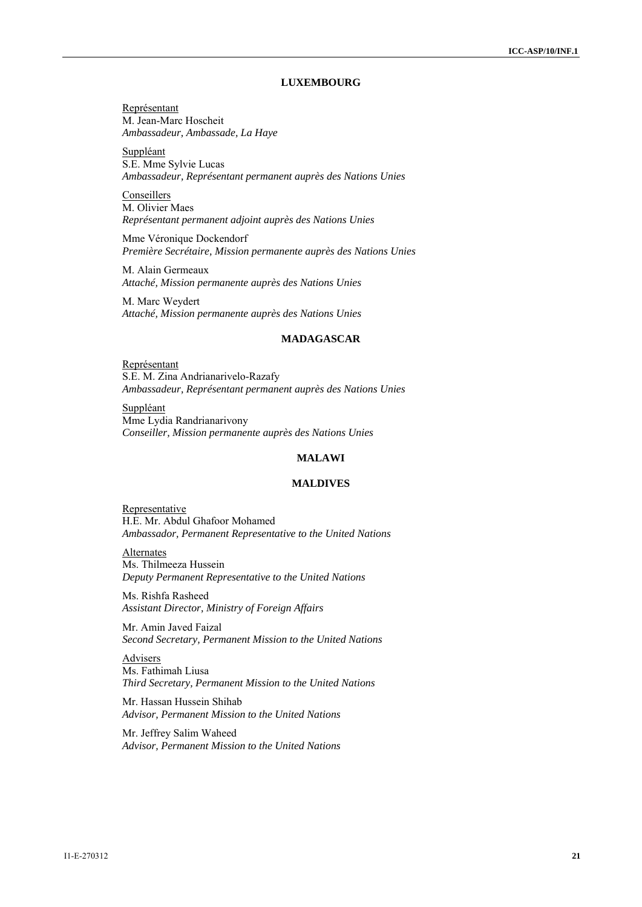# **LUXEMBOURG**

Représentant M. Jean-Marc Hoscheit *Ambassadeur, Ambassade, La Haye* 

Suppléant S.E. Mme Sylvie Lucas *Ambassadeur, Représentant permanent auprès des Nations Unies* 

**Conseillers** M. Olivier Maes *Représentant permanent adjoint auprès des Nations Unies* 

Mme Véronique Dockendorf *Première Secrétaire, Mission permanente auprès des Nations Unies* 

M. Alain Germeaux *Attaché, Mission permanente auprès des Nations Unies* 

M. Marc Weydert *Attaché, Mission permanente auprès des Nations Unies* 

#### **MADAGASCAR**

Représentant S.E. M. Zina Andrianarivelo-Razafy *Ambassadeur, Représentant permanent auprès des Nations Unies* 

Suppléant Mme Lydia Randrianarivony *Conseiller, Mission permanente auprès des Nations Unies* 

# **MALAWI**

#### **MALDIVES**

**Representative** H.E. Mr. Abdul Ghafoor Mohamed *Ambassador, Permanent Representative to the United Nations* 

Alternates Ms. Thilmeeza Hussein *Deputy Permanent Representative to the United Nations* 

Ms. Rishfa Rasheed *Assistant Director, Ministry of Foreign Affairs* 

Mr. Amin Javed Faizal *Second Secretary, Permanent Mission to the United Nations* 

Advisers Ms. Fathimah Liusa *Third Secretary, Permanent Mission to the United Nations* 

Mr. Hassan Hussein Shihab *Advisor, Permanent Mission to the United Nations* 

Mr. Jeffrey Salim Waheed *Advisor, Permanent Mission to the United Nations*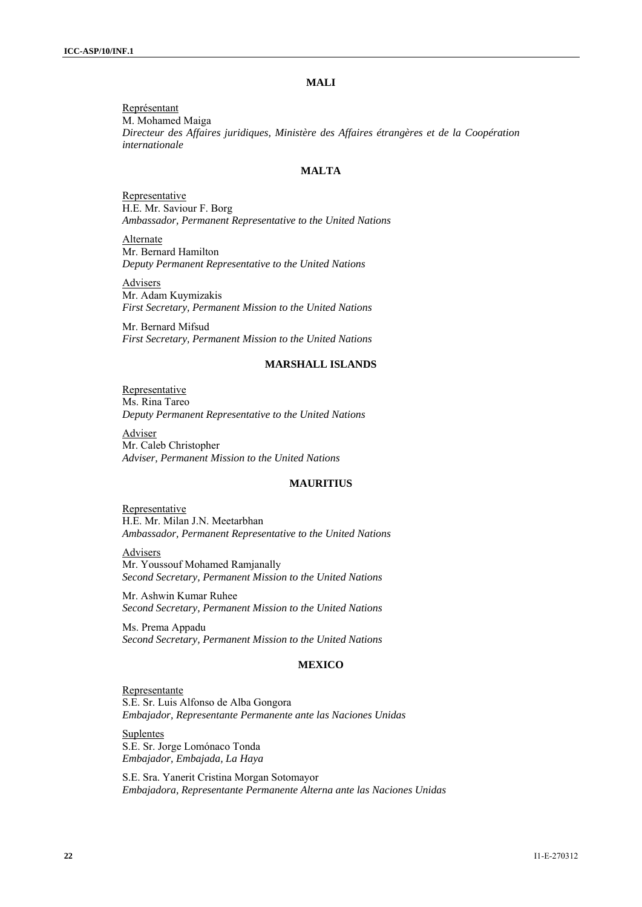# **MALI**

Représentant M. Mohamed Maiga *Directeur des Affaires juridiques, Ministère des Affaires étrangères et de la Coopération internationale* 

# **MALTA**

Representative H.E. Mr. Saviour F. Borg *Ambassador, Permanent Representative to the United Nations* 

Alternate Mr. Bernard Hamilton *Deputy Permanent Representative to the United Nations* 

Advisers Mr. Adam Kuymizakis *First Secretary, Permanent Mission to the United Nations*

Mr. Bernard Mifsud *First Secretary, Permanent Mission to the United Nations* 

#### **MARSHALL ISLANDS**

Representative Ms. Rina Tareo *Deputy Permanent Representative to the United Nations* 

Adviser Mr. Caleb Christopher *Adviser, Permanent Mission to the United Nations*

#### **MAURITIUS**

Representative H.E. Mr. Milan J.N. Meetarbhan *Ambassador, Permanent Representative to the United Nations* 

Advisers Mr. Youssouf Mohamed Ramjanally *Second Secretary, Permanent Mission to the United Nations* 

Mr. Ashwin Kumar Ruhee *Second Secretary, Permanent Mission to the United Nations* 

Ms. Prema Appadu *Second Secretary, Permanent Mission to the United Nations* 

# **MEXICO**

Representante S.E. Sr. Luis Alfonso de Alba Gongora *Embajador, Representante Permanente ante las Naciones Unidas* 

Suplentes S.E. Sr. Jorge Lomónaco Tonda *Embajador, Embajada, La Haya* 

S.E. Sra. Yanerit Cristina Morgan Sotomayor *Embajadora, Representante Permanente Alterna ante las Naciones Unidas*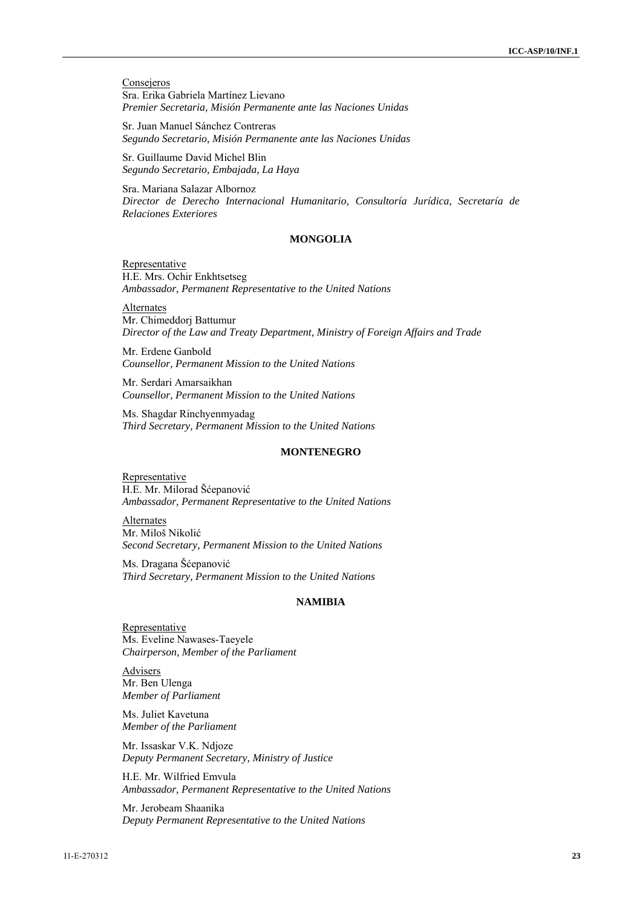**Consejeros** Sra. Erika Gabriela Martínez Lievano *Premier Secretaria, Misión Permanente ante las Naciones Unidas* 

Sr. Juan Manuel Sánchez Contreras *Segundo Secretario, Misión Permanente ante las Naciones Unidas* 

Sr. Guillaume David Michel Blin *Segundo Secretario, Embajada, La Haya* 

Sra. Mariana Salazar Albornoz *Director de Derecho Internacional Humanitario, Consultoría Jurídica, Secretaría de Relaciones Exteriores* 

#### **MONGOLIA**

Representative H.E. Mrs. Ochir Enkhtsetseg *Ambassador, Permanent Representative to the United Nations* 

**Alternates** Mr. Chimeddorj Battumur *Director of the Law and Treaty Department, Ministry of Foreign Affairs and Trade* 

Mr. Erdene Ganbold *Counsellor, Permanent Mission to the United Nations* 

Mr. Serdari Amarsaikhan *Counsellor, Permanent Mission to the United Nations* 

Ms. Shagdar Rinchyenmyadag *Third Secretary, Permanent Mission to the United Nations* 

#### **MONTENEGRO**

**Representative** H.E. Mr. Milorad Šćepanović *Ambassador, Permanent Representative to the United Nations* 

Alternates Mr. Miloš Nikolić *Second Secretary, Permanent Mission to the United Nations* 

Ms. Dragana Šćepanović *Third Secretary, Permanent Mission to the United Nations* 

#### **NAMIBIA**

**Representative** Ms. Eveline Nawases-Taeyele *Chairperson, Member of the Parliament* 

Advisers Mr. Ben Ulenga *Member of Parliament* 

Ms. Juliet Kavetuna *Member of the Parliament* 

Mr. Issaskar V.K. Ndjoze *Deputy Permanent Secretary, Ministry of Justice* 

H.E. Mr. Wilfried Emvula *Ambassador, Permanent Representative to the United Nations* 

Mr. Jerobeam Shaanika *Deputy Permanent Representative to the United Nations*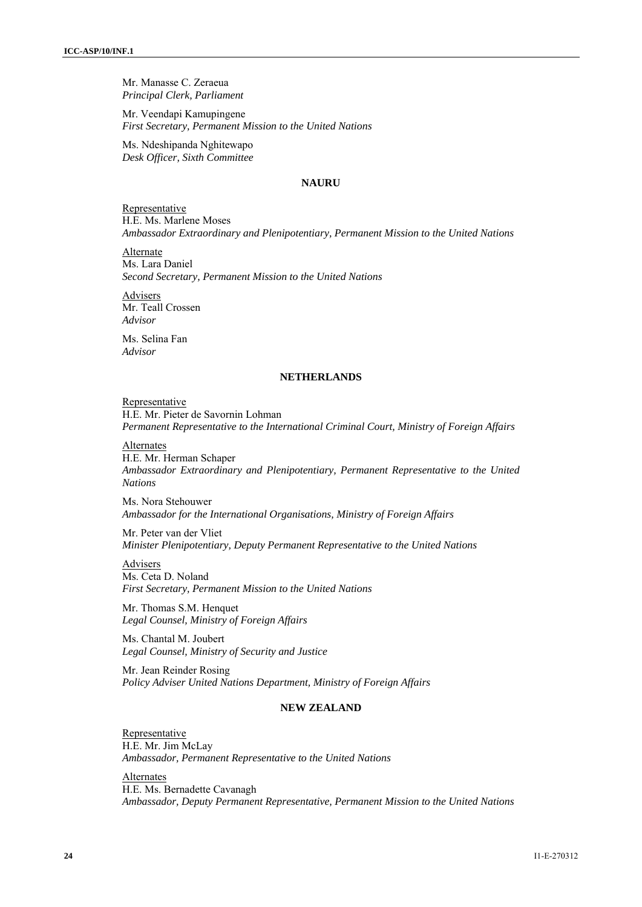Mr. Manasse C. Zeraeua *Principal Clerk, Parliament* 

Mr. Veendapi Kamupingene *First Secretary, Permanent Mission to the United Nations* 

Ms. Ndeshipanda Nghitewapo *Desk Officer, Sixth Committee* 

# **NAURU**

Representative H.E. Ms. Marlene Moses *Ambassador Extraordinary and Plenipotentiary, Permanent Mission to the United Nations* 

Alternate Ms. Lara Daniel *Second Secretary, Permanent Mission to the United Nations* 

Advisers Mr. Teall Crossen *Advisor* 

Ms. Selina Fan *Advisor*

# **NETHERLANDS**

# Representative

H.E. Mr. Pieter de Savornin Lohman *Permanent Representative to the International Criminal Court, Ministry of Foreign Affairs* 

# Alternates

H.E. Mr. Herman Schaper *Ambassador Extraordinary and Plenipotentiary, Permanent Representative to the United Nations* 

Ms. Nora Stehouwer *Ambassador for the International Organisations, Ministry of Foreign Affairs* 

Mr. Peter van der Vliet *Minister Plenipotentiary, Deputy Permanent Representative to the United Nations* 

Advisers Ms. Ceta D. Noland *First Secretary, Permanent Mission to the United Nations* 

Mr. Thomas S.M. Henquet *Legal Counsel, Ministry of Foreign Affairs* 

Ms. Chantal M. Joubert *Legal Counsel, Ministry of Security and Justice* 

Mr. Jean Reinder Rosing *Policy Adviser United Nations Department, Ministry of Foreign Affairs* 

# **NEW ZEALAND**

Representative H.E. Mr. Jim McLay *Ambassador, Permanent Representative to the United Nations* 

Alternates H.E. Ms. Bernadette Cavanagh *Ambassador, Deputy Permanent Representative, Permanent Mission to the United Nations*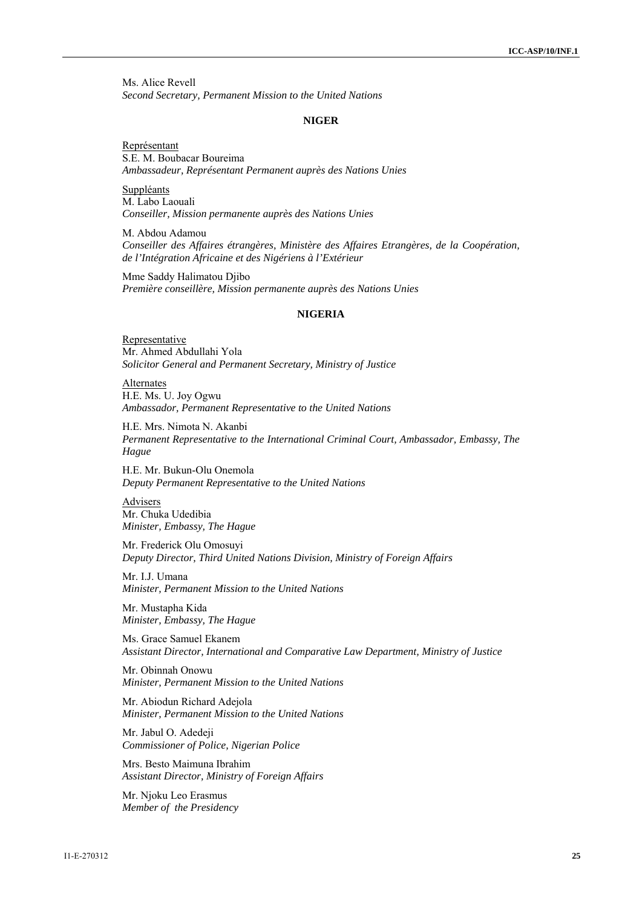Ms. Alice Revell *Second Secretary, Permanent Mission to the United Nations* 

#### **NIGER**

Représentant S.E. M. Boubacar Boureima *Ambassadeur, Représentant Permanent auprès des Nations Unies* 

Suppléants M. Labo Laouali *Conseiller, Mission permanente auprès des Nations Unies* 

M. Abdou Adamou *Conseiller des Affaires étrangères, Ministère des Affaires Etrangères, de la Coopération, de l'Intégration Africaine et des Nigériens à l'Extérieur* 

Mme Saddy Halimatou Djibo *Première conseillère, Mission permanente auprès des Nations Unies* 

#### **NIGERIA**

**Representative** Mr. Ahmed Abdullahi Yola *Solicitor General and Permanent Secretary, Ministry of Justice*

**Alternates** H.E. Ms. U. Joy Ogwu *Ambassador, Permanent Representative to the United Nations* 

H.E. Mrs. Nimota N. Akanbi *Permanent Representative to the International Criminal Court, Ambassador, Embassy, The Hague* 

H.E. Mr. Bukun-Olu Onemola *Deputy Permanent Representative to the United Nations* 

Advisers Mr. Chuka Udedibia *Minister, Embassy, The Hague* 

Mr. Frederick Olu Omosuyi *Deputy Director, Third United Nations Division, Ministry of Foreign Affairs* 

Mr. I.J. Umana *Minister, Permanent Mission to the United Nations* 

Mr. Mustapha Kida *Minister, Embassy, The Hague* 

Ms. Grace Samuel Ekanem *Assistant Director, International and Comparative Law Department, Ministry of Justice* 

Mr. Obinnah Onowu *Minister, Permanent Mission to the United Nations* 

Mr. Abiodun Richard Adejola *Minister, Permanent Mission to the United Nations* 

Mr. Jabul O. Adedeji *Commissioner of Police, Nigerian Police* 

Mrs. Besto Maimuna Ibrahim *Assistant Director, Ministry of Foreign Affairs* 

Mr. Njoku Leo Erasmus *Member of the Presidency*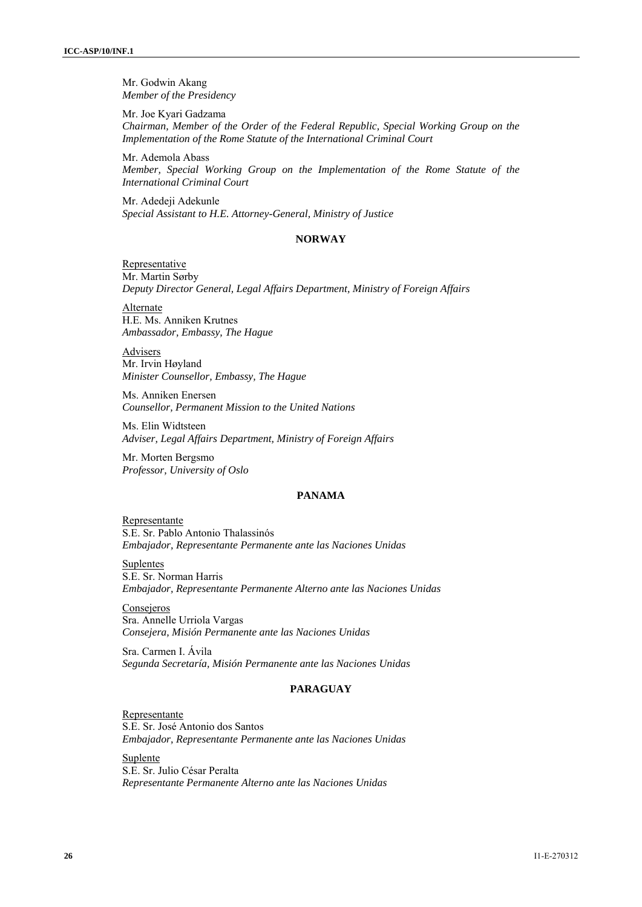Mr. Godwin Akang *Member of the Presidency* 

Mr. Joe Kyari Gadzama *Chairman, Member of the Order of the Federal Republic, Special Working Group on the Implementation of the Rome Statute of the International Criminal Court* 

Mr. Ademola Abass *Member, Special Working Group on the Implementation of the Rome Statute of the International Criminal Court* 

Mr. Adedeji Adekunle *Special Assistant to H.E. Attorney-General, Ministry of Justice* 

#### **NORWAY**

Representative Mr. Martin Sørby *Deputy Director General, Legal Affairs Department, Ministry of Foreign Affairs* 

Alternate H.E. Ms. Anniken Krutnes *Ambassador, Embassy, The Hague* 

**Advisers** Mr. Irvin Høyland *Minister Counsellor, Embassy, The Hague* 

Ms. Anniken Enersen *Counsellor, Permanent Mission to the United Nations* 

Ms. Elin Widtsteen *Adviser, Legal Affairs Department, Ministry of Foreign Affairs* 

Mr. Morten Bergsmo *Professor, University of Oslo* 

#### **PANAMA**

Representante S.E. Sr. Pablo Antonio Thalassinós *Embajador, Representante Permanente ante las Naciones Unidas* 

**Suplentes** S.E. Sr. Norman Harris *Embajador, Representante Permanente Alterno ante las Naciones Unidas* 

Consejeros Sra. Annelle Urriola Vargas *Consejera, Misión Permanente ante las Naciones Unidas* 

Sra. Carmen I. Ávila *Segunda Secretaría, Misión Permanente ante las Naciones Unidas* 

# **PARAGUAY**

Representante S.E. Sr. José Antonio dos Santos *Embajador, Representante Permanente ante las Naciones Unidas* 

Suplente S.E. Sr. Julio César Peralta *Representante Permanente Alterno ante las Naciones Unidas*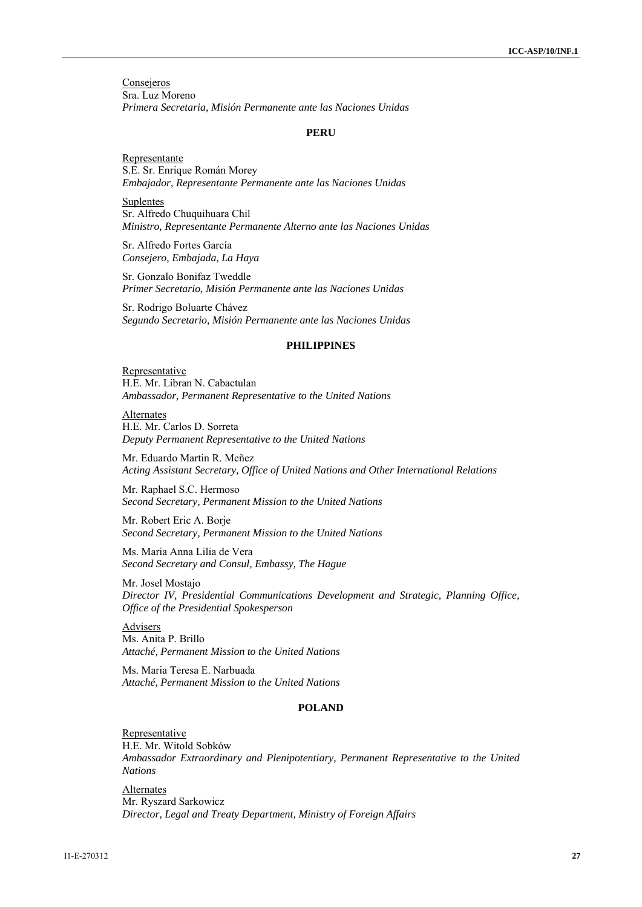**Consejeros** Sra. Luz Moreno *Primera Secretaria, Misión Permanente ante las Naciones Unidas* 

#### **PERU**

Representante S.E. Sr. Enrique Román Morey *Embajador, Representante Permanente ante las Naciones Unidas* 

Suplentes Sr. Alfredo Chuquihuara Chil *Ministro, Representante Permanente Alterno ante las Naciones Unidas* 

Sr. Alfredo Fortes García *Consejero, Embajada, La Haya* 

Sr. Gonzalo Bonifaz Tweddle *Primer Secretario, Misión Permanente ante las Naciones Unidas* 

Sr. Rodrigo Boluarte Chávez *Segundo Secretario, Misión Permanente ante las Naciones Unidas* 

#### **PHILIPPINES**

**Representative** H.E. Mr. Libran N. Cabactulan *Ambassador, Permanent Representative to the United Nations* 

Alternates H.E. Mr. Carlos D. Sorreta *Deputy Permanent Representative to the United Nations* 

Mr. Eduardo Martin R. Meñez *Acting Assistant Secretary, Office of United Nations and Other International Relations* 

Mr. Raphael S.C. Hermoso *Second Secretary, Permanent Mission to the United Nations* 

Mr. Robert Eric A. Borje *Second Secretary, Permanent Mission to the United Nations* 

Ms. Maria Anna Lilia de Vera *Second Secretary and Consul, Embassy, The Hague* 

Mr. Josel Mostajo *Director IV, Presidential Communications Development and Strategic, Planning Office, Office of the Presidential Spokesperson* 

Advisers Ms. Anita P. Brillo *Attaché, Permanent Mission to the United Nations* 

Ms. Maria Teresa E. Narbuada *Attaché, Permanent Mission to the United Nations* 

# **POLAND**

Representative H.E. Mr. Witold Sobków *Ambassador Extraordinary and Plenipotentiary, Permanent Representative to the United Nations* 

Alternates Mr. Ryszard Sarkowicz *Director, Legal and Treaty Department, Ministry of Foreign Affairs*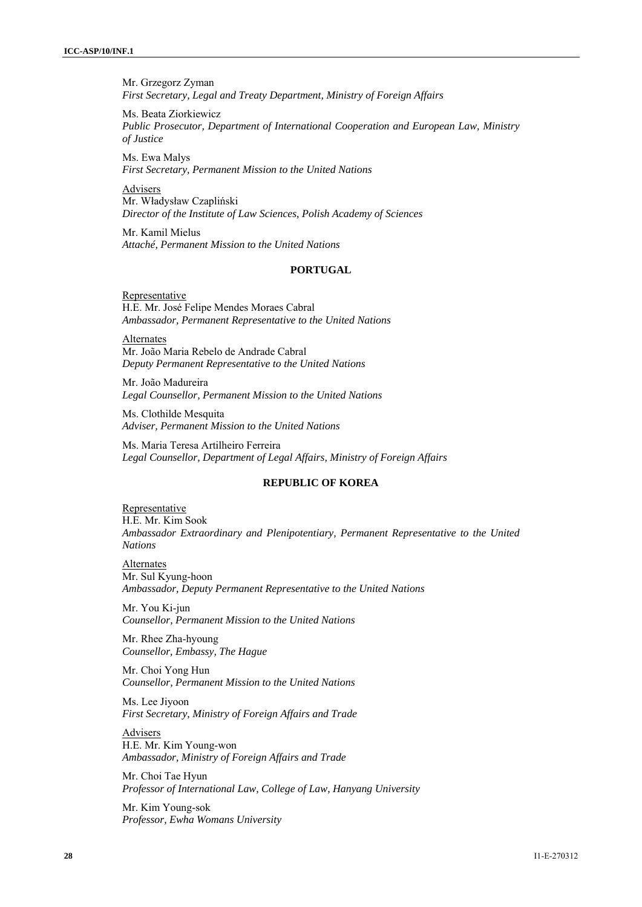Mr. Grzegorz Zyman *First Secretary, Legal and Treaty Department, Ministry of Foreign Affairs* 

Ms. Beata Ziorkiewicz *Public Prosecutor, Department of International Cooperation and European Law, Ministry of Justice* 

Ms. Ewa Malys *First Secretary, Permanent Mission to the United Nations* 

Advisers Mr. Władysław Czapliński *Director of the Institute of Law Sciences, Polish Academy of Sciences* 

Mr. Kamil Mielus *Attaché, Permanent Mission to the United Nations* 

# **PORTUGAL**

**Representative** H.E. Mr. José Felipe Mendes Moraes Cabral *Ambassador, Permanent Representative to the United Nations* 

Alternates Mr. João Maria Rebelo de Andrade Cabral *Deputy Permanent Representative to the United Nations* 

Mr. João Madureira *Legal Counsellor, Permanent Mission to the United Nations* 

Ms. Clothilde Mesquita *Adviser, Permanent Mission to the United Nations* 

Ms. Maria Teresa Artilheiro Ferreira *Legal Counsellor, Department of Legal Affairs, Ministry of Foreign Affairs* 

# **REPUBLIC OF KOREA**

**Representative** H.E. Mr. Kim Sook *Ambassador Extraordinary and Plenipotentiary, Permanent Representative to the United Nations* 

Alternates Mr. Sul Kyung-hoon *Ambassador, Deputy Permanent Representative to the United Nations* 

Mr. You Ki-jun *Counsellor, Permanent Mission to the United Nations* 

Mr. Rhee Zha-hyoung *Counsellor, Embassy, The Hague* 

Mr. Choi Yong Hun *Counsellor, Permanent Mission to the United Nations* 

Ms. Lee Jiyoon *First Secretary, Ministry of Foreign Affairs and Trade* 

**Advisers** H.E. Mr. Kim Young-won *Ambassador, Ministry of Foreign Affairs and Trade* 

Mr. Choi Tae Hyun *Professor of International Law, College of Law, Hanyang University* 

Mr. Kim Young-sok *Professor, Ewha Womans University*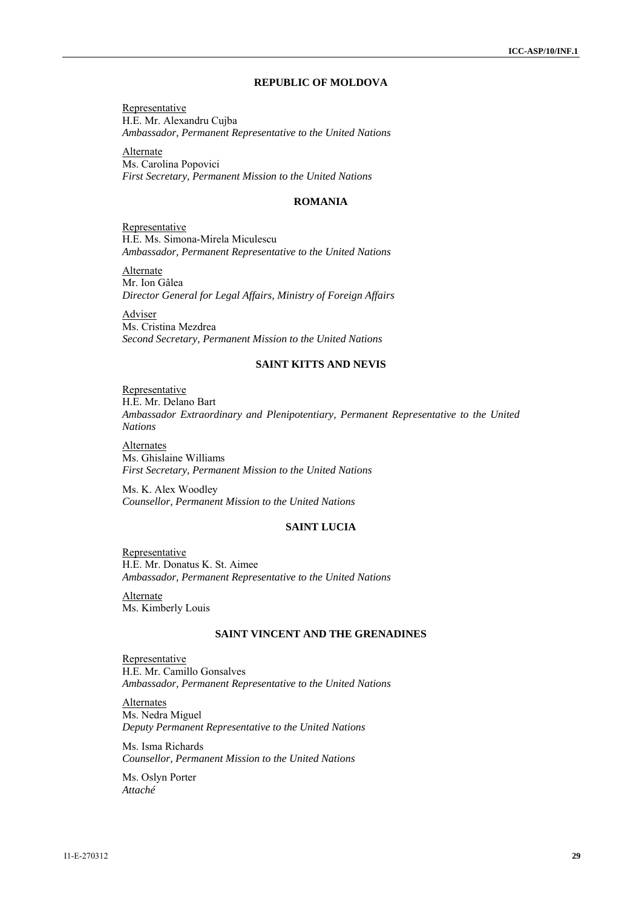# **REPUBLIC OF MOLDOVA**

Representative H.E. Mr. Alexandru Cujba *Ambassador, Permanent Representative to the United Nations* 

Alternate Ms. Carolina Popovici *First Secretary, Permanent Mission to the United Nations*

#### **ROMANIA**

**Representative** H.E. Ms. Simona-Mirela Miculescu *Ambassador, Permanent Representative to the United Nations* 

Alternate Mr. Ion Gâlea *Director General for Legal Affairs, Ministry of Foreign Affairs* 

Adviser Ms. Cristina Mezdrea *Second Secretary, Permanent Mission to the United Nations* 

# **SAINT KITTS AND NEVIS**

Representative H.E. Mr. Delano Bart *Ambassador Extraordinary and Plenipotentiary, Permanent Representative to the United Nations* 

Alternates Ms. Ghislaine Williams *First Secretary, Permanent Mission to the United Nations* 

Ms. K. Alex Woodley *Counsellor, Permanent Mission to the United Nations* 

# **SAINT LUCIA**

Representative H.E. Mr. Donatus K. St. Aimee *Ambassador, Permanent Representative to the United Nations* 

Alternate Ms. Kimberly Louis

# **SAINT VINCENT AND THE GRENADINES**

**Representative** H.E. Mr. Camillo Gonsalves *Ambassador, Permanent Representative to the United Nations* 

**Alternates** Ms. Nedra Miguel *Deputy Permanent Representative to the United Nations* 

Ms. Isma Richards *Counsellor, Permanent Mission to the United Nations* 

Ms. Oslyn Porter *Attaché*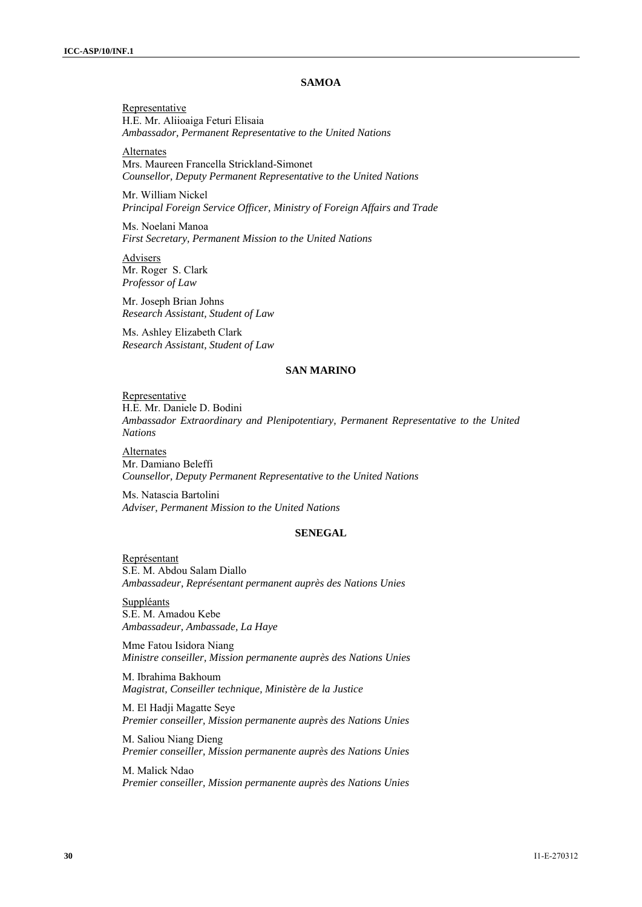#### **SAMOA**

Representative H.E. Mr. Aliioaiga Feturi Elisaia *Ambassador, Permanent Representative to the United Nations* 

Alternates Mrs. Maureen Francella Strickland-Simonet *Counsellor, Deputy Permanent Representative to the United Nations* 

Mr. William Nickel *Principal Foreign Service Officer, Ministry of Foreign Affairs and Trade* 

Ms. Noelani Manoa *First Secretary, Permanent Mission to the United Nations* 

**Advisers** Mr. Roger S. Clark *Professor of Law* 

Mr. Joseph Brian Johns *Research Assistant, Student of Law* 

Ms. Ashley Elizabeth Clark *Research Assistant, Student of Law* 

#### **SAN MARINO**

Representative H.E. Mr. Daniele D. Bodini *Ambassador Extraordinary and Plenipotentiary, Permanent Representative to the United Nations* 

**Alternates** Mr. Damiano Beleffi *Counsellor, Deputy Permanent Representative to the United Nations* 

Ms. Natascia Bartolini *Adviser, Permanent Mission to the United Nations*

#### **SENEGAL**

Représentant S.E. M. Abdou Salam Diallo *Ambassadeur, Représentant permanent auprès des Nations Unies* 

**Suppléants** S.E. M. Amadou Kebe *Ambassadeur, Ambassade, La Haye* 

Mme Fatou Isidora Niang *Ministre conseiller, Mission permanente auprès des Nations Unies* 

M. Ibrahima Bakhoum *Magistrat, Conseiller technique, Ministère de la Justice* 

M. El Hadji Magatte Seye *Premier conseiller, Mission permanente auprès des Nations Unies* 

M. Saliou Niang Dieng *Premier conseiller, Mission permanente auprès des Nations Unies* 

M. Malick Ndao *Premier conseiller, Mission permanente auprès des Nations Unies*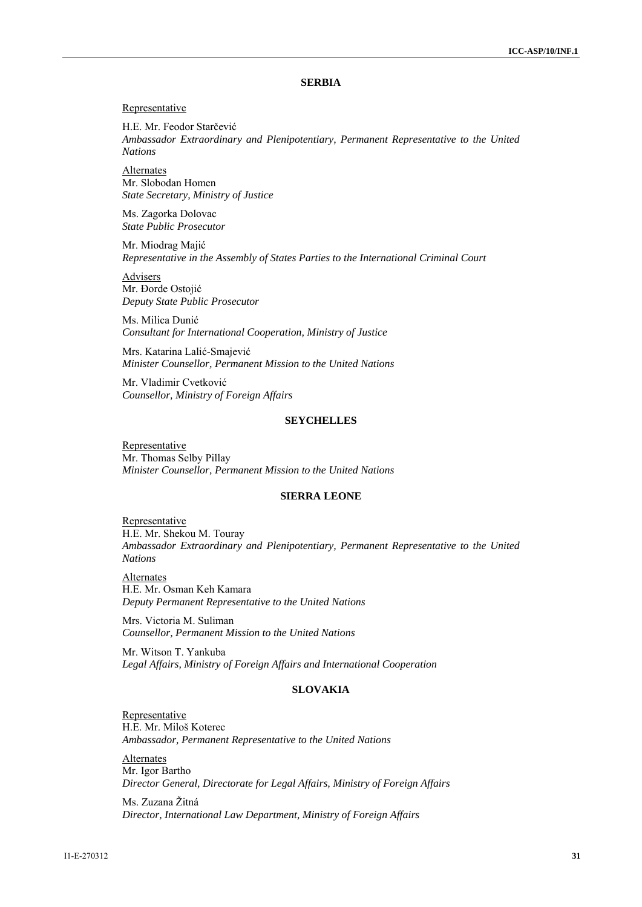## **SERBIA**

#### Representative

H.E. Mr. Feodor Starčević *Ambassador Extraordinary and Plenipotentiary, Permanent Representative to the United Nations* 

**Alternates** Mr. Slobodan Homen *State Secretary, Ministry of Justice* 

Ms. Zagorka Dolovac *State Public Prosecutor* 

Mr. Miodrag Majić *Representative in the Assembly of States Parties to the International Criminal Court* 

Advisers Mr. Đorde Ostojić *Deputy State Public Prosecutor* 

Ms. Milica Dunić *Consultant for International Cooperation, Ministry of Justice* 

Mrs. Katarina Lalić-Smajević *Minister Counsellor, Permanent Mission to the United Nations* 

Mr. Vladimir Cvetković *Counsellor, Ministry of Foreign Affairs*

#### **SEYCHELLES**

Representative Mr. Thomas Selby Pillay *Minister Counsellor, Permanent Mission to the United Nations* 

# **SIERRA LEONE**

**Representative** H.E. Mr. Shekou M. Touray *Ambassador Extraordinary and Plenipotentiary, Permanent Representative to the United Nations* 

Alternates H.E. Mr. Osman Keh Kamara *Deputy Permanent Representative to the United Nations* 

Mrs. Victoria M. Suliman *Counsellor, Permanent Mission to the United Nations* 

Mr. Witson T. Yankuba *Legal Affairs, Ministry of Foreign Affairs and International Cooperation* 

# **SLOVAKIA**

**Representative** H.E. Mr. Miloš Koterec *Ambassador, Permanent Representative to the United Nations* 

**Alternates** Mr. Igor Bartho *Director General, Directorate for Legal Affairs, Ministry of Foreign Affairs* 

Ms. Zuzana Žitná *Director, International Law Department, Ministry of Foreign Affairs*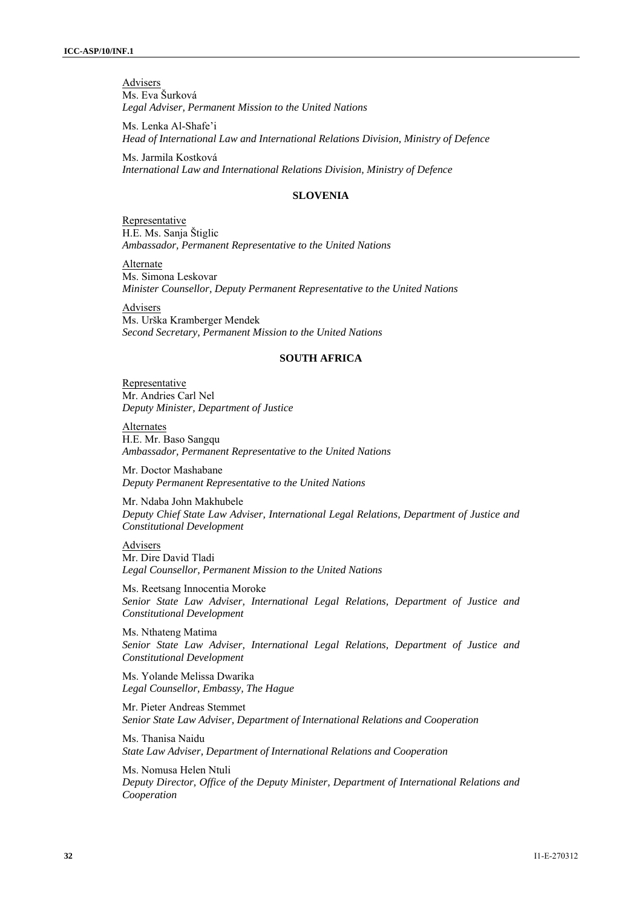**Advisers** Ms. Eva Šurková *Legal Adviser, Permanent Mission to the United Nations* 

Ms. Lenka Al-Shafe'i *Head of International Law and International Relations Division, Ministry of Defence* 

Ms. Jarmila Kostková *International Law and International Relations Division, Ministry of Defence* 

#### **SLOVENIA**

**Representative** H.E. Ms. Sanja Štiglic *Ambassador, Permanent Representative to the United Nations* 

**Alternate** Ms. Simona Leskovar *Minister Counsellor, Deputy Permanent Representative to the United Nations* 

**Advisers** Ms. Urška Kramberger Mendek *Second Secretary, Permanent Mission to the United Nations*

#### **SOUTH AFRICA**

Representative Mr. Andries Carl Nel *Deputy Minister, Department of Justice* 

Alternates H.E. Mr. Baso Sangqu *Ambassador, Permanent Representative to the United Nations* 

Mr. Doctor Mashabane *Deputy Permanent Representative to the United Nations* 

Mr. Ndaba John Makhubele *Deputy Chief State Law Adviser, International Legal Relations, Department of Justice and Constitutional Development* 

**Advisers** Mr. Dire David Tladi *Legal Counsellor, Permanent Mission to the United Nations* 

Ms. Reetsang Innocentia Moroke *Senior State Law Adviser, International Legal Relations, Department of Justice and Constitutional Development* 

Ms. Nthateng Matima *Senior State Law Adviser, International Legal Relations, Department of Justice and Constitutional Development* 

Ms. Yolande Melissa Dwarika *Legal Counsellor, Embassy, The Hague* 

Mr. Pieter Andreas Stemmet *Senior State Law Adviser, Department of International Relations and Cooperation* 

Ms. Thanisa Naidu *State Law Adviser, Department of International Relations and Cooperation* 

Ms. Nomusa Helen Ntuli *Deputy Director, Office of the Deputy Minister, Department of International Relations and Cooperation*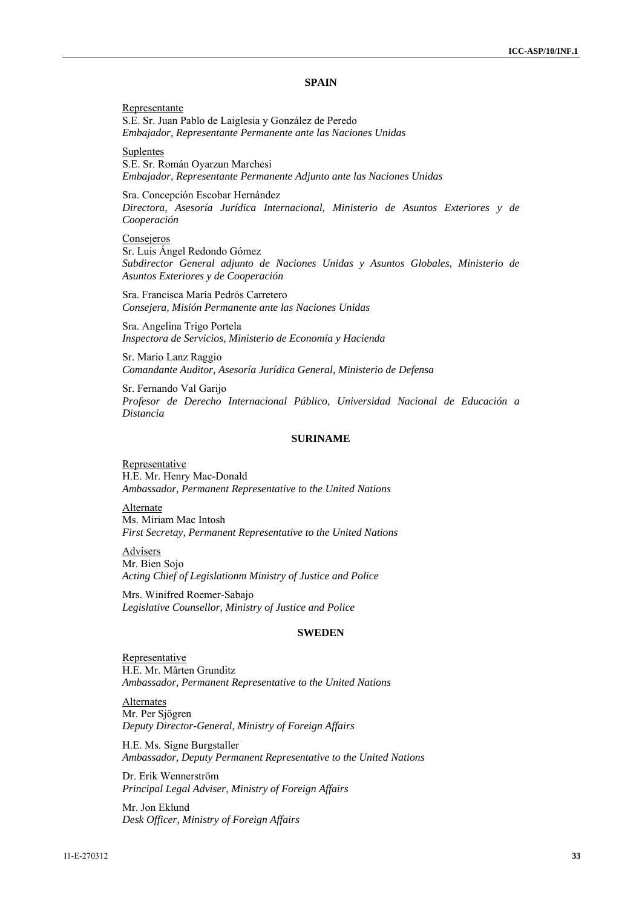#### **SPAIN**

Representante S.E. Sr. Juan Pablo de Laiglesia y González de Peredo *Embajador, Representante Permanente ante las Naciones Unidas* 

**Suplentes** S.E. Sr. Román Oyarzun Marchesi *Embajador, Representante Permanente Adjunto ante las Naciones Unidas* 

Sra. Concepción Escobar Hernández *Directora, Asesoría Jurídica Internacional, Ministerio de Asuntos Exteriores y de Cooperación* 

#### **Consejeros**

Sr. Luis Ángel Redondo Gómez *Subdirector General adjunto de Naciones Unidas y Asuntos Globales, Ministerio de Asuntos Exteriores y de Cooperación* 

Sra. Francisca María Pedrós Carretero *Consejera, Misión Permanente ante las Naciones Unidas* 

Sra. Angelina Trigo Portela *Inspectora de Servicios, Ministerio de Economía y Hacienda* 

Sr. Mario Lanz Raggio *Comandante Auditor, Asesoría Jurídica General, Ministerio de Defensa* 

Sr. Fernando Val Garijo *Profesor de Derecho Internacional Público, Universidad Nacional de Educación a Distancia* 

#### **SURINAME**

**Representative** H.E. Mr. Henry Mac-Donald *Ambassador, Permanent Representative to the United Nations* 

Alternate Ms. Miriam Mac Intosh *First Secretay, Permanent Representative to the United Nations* 

Advisers Mr. Bien Sojo *Acting Chief of Legislationm Ministry of Justice and Police* 

Mrs. Winifred Roemer-Sabajo *Legislative Counsellor, Ministry of Justice and Police* 

#### **SWEDEN**

Representative H.E. Mr. Mårten Grunditz *Ambassador, Permanent Representative to the United Nations* 

**Alternates** Mr. Per Sjögren *Deputy Director-General, Ministry of Foreign Affairs* 

H.E. Ms. Signe Burgstaller *Ambassador, Deputy Permanent Representative to the United Nations* 

Dr. Erik Wennerström *Principal Legal Adviser, Ministry of Foreign Affairs* 

Mr. Jon Eklund *Desk Officer, Ministry of Foreign Affairs*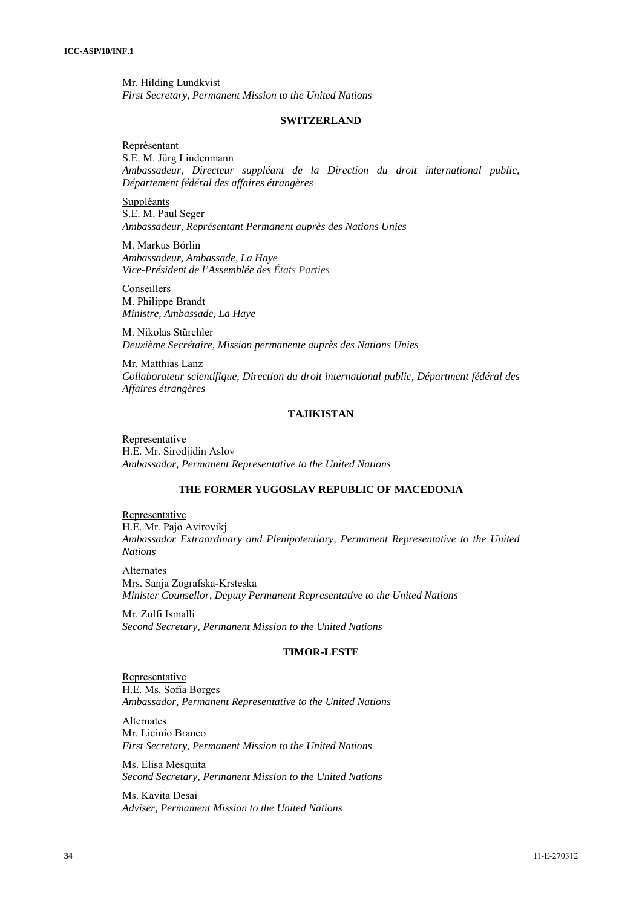Mr. Hilding Lundkvist *First Secretary, Permanent Mission to the United Nations* 

#### **SWITZERLAND**

Représentant S.E. M. Jürg Lindenmann *Ambassadeur, Directeur suppléant de la Direction du droit international public, Département fédéral des affaires étrangères* 

Suppléants S.E. M. Paul Seger *Ambassadeur, Représentant Permanent auprès des Nations Unies* 

M. Markus Börlin *Ambassadeur, Ambassade, La Haye Vice-Président de l'Assemblée des États Parties*

Conseillers M. Philippe Brandt *Ministre, Ambassade, La Haye* 

M. Nikolas Stürchler *Deuxième Secrétaire, Mission permanente auprès des Nations Unies* 

Mr. Matthias Lanz *Collaborateur scientifique, Direction du droit international public, Départment fédéral des Affaires étrangères* 

# **TAJIKISTAN**

Representative H.E. Mr. Sirodjidin Aslov *Ambassador, Permanent Representative to the United Nations* 

#### **THE FORMER YUGOSLAV REPUBLIC OF MACEDONIA**

**Representative** H.E. Mr. Pajo Avirovikj *Ambassador Extraordinary and Plenipotentiary, Permanent Representative to the United Nations* 

**Alternates** Mrs. Sanja Zografska-Krsteska *Minister Counsellor, Deputy Permanent Representative to the United Nations* 

Mr. Zulfi Ismalli *Second Secretary, Permanent Mission to the United Nations* 

#### **TIMOR-LESTE**

**Representative** H.E. Ms. Sofia Borges *Ambassador, Permanent Representative to the United Nations* 

**Alternates** Mr. Licinio Branco *First Secretary, Permanent Mission to the United Nations* 

Ms. Elisa Mesquita *Second Secretary, Permanent Mission to the United Nations* 

Ms. Kavita Desai *Adviser, Permament Mission to the United Nations*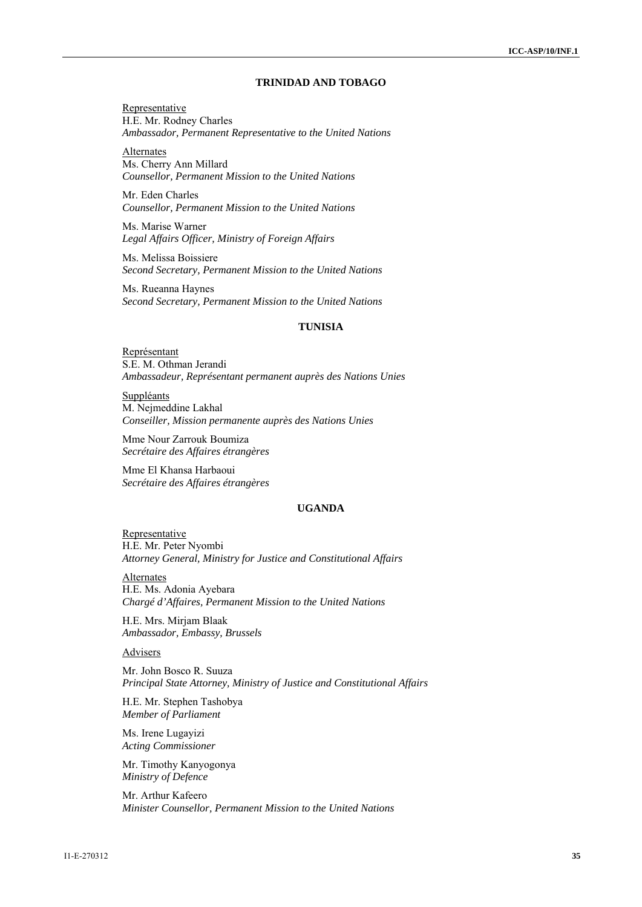# **TRINIDAD AND TOBAGO**

Representative H.E. Mr. Rodney Charles *Ambassador, Permanent Representative to the United Nations* 

Alternates Ms. Cherry Ann Millard *Counsellor, Permanent Mission to the United Nations* 

Mr. Eden Charles *Counsellor, Permanent Mission to the United Nations* 

Ms. Marise Warner *Legal Affairs Officer, Ministry of Foreign Affairs* 

Ms. Melissa Boissiere *Second Secretary, Permanent Mission to the United Nations* 

Ms. Rueanna Haynes *Second Secretary, Permanent Mission to the United Nations* 

#### **TUNISIA**

Représentant S.E. M. Othman Jerandi *Ambassadeur, Représentant permanent auprès des Nations Unies* 

Suppléants M. Nejmeddine Lakhal *Conseiller, Mission permanente auprès des Nations Unies* 

Mme Nour Zarrouk Boumiza *Secrétaire des Affaires étrangères* 

Mme El Khansa Harbaoui *Secrétaire des Affaires étrangères* 

#### **UGANDA**

**Representative** H.E. Mr. Peter Nyombi *Attorney General, Ministry for Justice and Constitutional Affairs* 

Alternates H.E. Ms. Adonia Ayebara *Chargé d'Affaires, Permanent Mission to the United Nations* 

H.E. Mrs. Mirjam Blaak *Ambassador, Embassy, Brussels* 

# **Advisers**

Mr. John Bosco R. Suuza *Principal State Attorney, Ministry of Justice and Constitutional Affairs* 

H.E. Mr. Stephen Tashobya *Member of Parliament* 

Ms. Irene Lugayizi *Acting Commissioner* 

Mr. Timothy Kanyogonya *Ministry of Defence*

Mr. Arthur Kafeero *Minister Counsellor, Permanent Mission to the United Nations*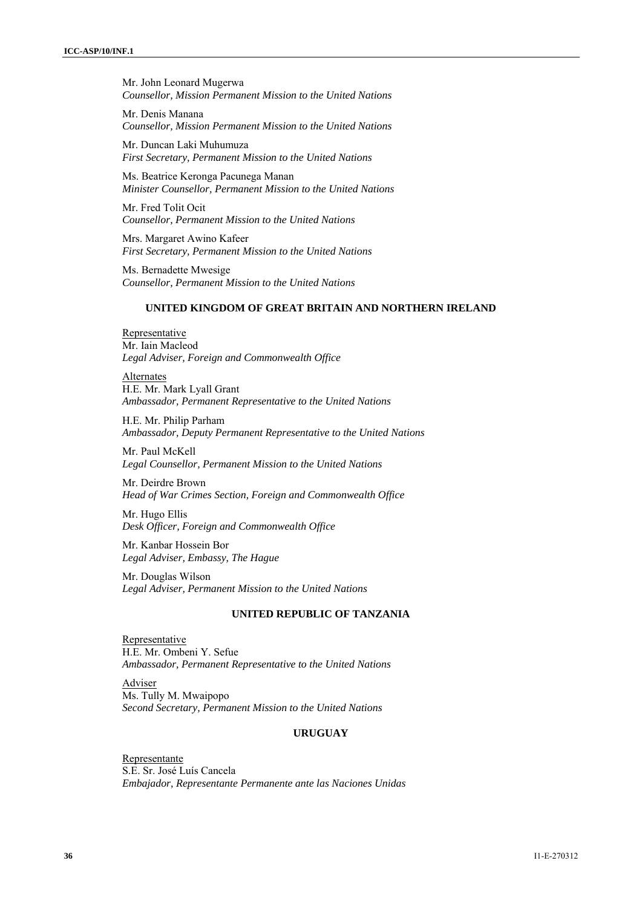Mr. John Leonard Mugerwa *Counsellor, Mission Permanent Mission to the United Nations* 

Mr. Denis Manana *Counsellor, Mission Permanent Mission to the United Nations* 

Mr. Duncan Laki Muhumuza *First Secretary, Permanent Mission to the United Nations* 

Ms. Beatrice Keronga Pacunega Manan *Minister Counsellor, Permanent Mission to the United Nations* 

Mr. Fred Tolit Ocit *Counsellor, Permanent Mission to the United Nations* 

Mrs. Margaret Awino Kafeer *First Secretary, Permanent Mission to the United Nations* 

Ms. Bernadette Mwesige *Counsellor, Permanent Mission to the United Nations* 

# **UNITED KINGDOM OF GREAT BRITAIN AND NORTHERN IRELAND**

Representative Mr. Iain Macleod *Legal Adviser, Foreign and Commonwealth Office* 

Alternates H.E. Mr. Mark Lyall Grant *Ambassador, Permanent Representative to the United Nations* 

H.E. Mr. Philip Parham *Ambassador, Deputy Permanent Representative to the United Nations* 

Mr. Paul McKell *Legal Counsellor, Permanent Mission to the United Nations* 

Mr. Deirdre Brown *Head of War Crimes Section, Foreign and Commonwealth Office* 

Mr. Hugo Ellis *Desk Officer, Foreign and Commonwealth Office* 

Mr. Kanbar Hossein Bor *Legal Adviser, Embassy, The Hague* 

Mr. Douglas Wilson *Legal Adviser, Permanent Mission to the United Nations* 

# **UNITED REPUBLIC OF TANZANIA**

Representative H.E. Mr. Ombeni Y. Sefue *Ambassador, Permanent Representative to the United Nations* 

Adviser Ms. Tully M. Mwaipopo *Second Secretary, Permanent Mission to the United Nations*

#### **URUGUAY**

Representante S.E. Sr. José Luís Cancela *Embajador, Representante Permanente ante las Naciones Unidas*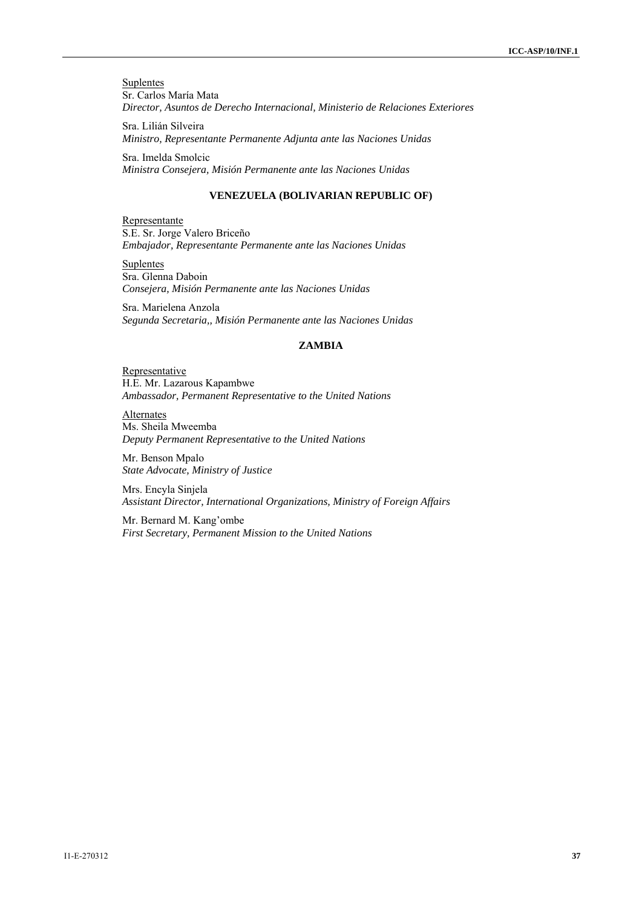**Suplentes** Sr. Carlos María Mata *Director, Asuntos de Derecho Internacional, Ministerio de Relaciones Exteriores*

Sra. Lilián Silveira *Ministro, Representante Permanente Adjunta ante las Naciones Unidas* 

Sra. Imelda Smolcic *Ministra Consejera, Misión Permanente ante las Naciones Unidas* 

# **VENEZUELA (BOLIVARIAN REPUBLIC OF)**

Representante S.E. Sr. Jorge Valero Briceño *Embajador, Representante Permanente ante las Naciones Unidas* 

**Suplentes** Sra. Glenna Daboin *Consejera, Misión Permanente ante las Naciones Unidas* 

Sra. Marielena Anzola *Segunda Secretaria,, Misión Permanente ante las Naciones Unidas* 

#### **ZAMBIA**

Representative H.E. Mr. Lazarous Kapambwe *Ambassador, Permanent Representative to the United Nations* 

**Alternates** Ms. Sheila Mweemba *Deputy Permanent Representative to the United Nations* 

Mr. Benson Mpalo *State Advocate, Ministry of Justice* 

Mrs. Encyla Sinjela *Assistant Director, International Organizations, Ministry of Foreign Affairs* 

Mr. Bernard M. Kang'ombe *First Secretary, Permanent Mission to the United Nations*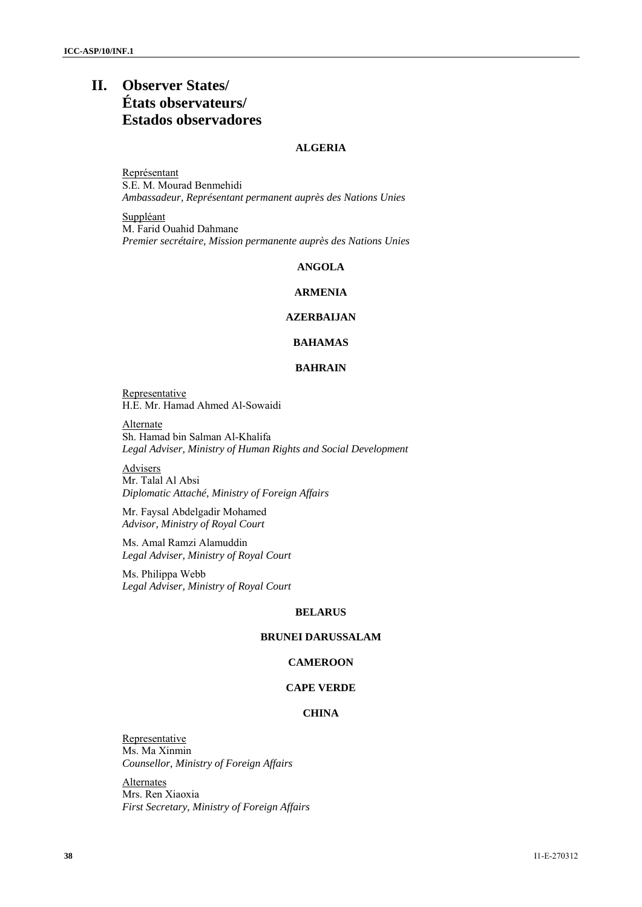# **II. Observer States/ États observateurs/ Estados observadores**

# **ALGERIA**

Représentant S.E. M. Mourad Benmehidi *Ambassadeur, Représentant permanent auprès des Nations Unies* 

Suppléant M. Farid Ouahid Dahmane *Premier secrétaire, Mission permanente auprès des Nations Unies* 

# **ANGOLA**

# **ARMENIA**

#### **AZERBAIJAN**

# **BAHAMAS**

#### **BAHRAIN**

Representative H.E. Mr. Hamad Ahmed Al-Sowaidi

Alternate Sh. Hamad bin Salman Al-Khalifa *Legal Adviser, Ministry of Human Rights and Social Development* 

Advisers Mr. Talal Al Absi *Diplomatic Attaché, Ministry of Foreign Affairs* 

Mr. Faysal Abdelgadir Mohamed *Advisor, Ministry of Royal Court* 

Ms. Amal Ramzi Alamuddin *Legal Adviser, Ministry of Royal Court* 

Ms. Philippa Webb *Legal Adviser, Ministry of Royal Court* 

#### **BELARUS**

# **BRUNEI DARUSSALAM**

# **CAMEROON**

#### **CAPE VERDE**

# **CHINA**

Representative Ms. Ma Xinmin *Counsellor, Ministry of Foreign Affairs* 

**Alternates** Mrs. Ren Xiaoxia *First Secretary, Ministry of Foreign Affairs*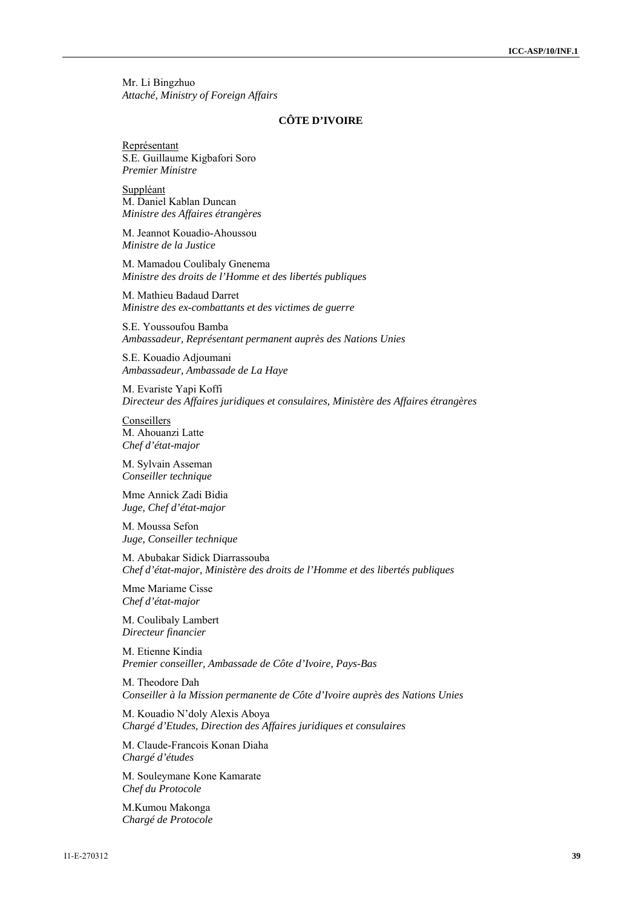Mr. Li Bingzhuo *Attaché, Ministry of Foreign Affairs* 

#### **CÔTE D'IVOIRE**

Représentant S.E. Guillaume Kigbafori Soro *Premier Ministre* 

Suppléant M. Daniel Kablan Duncan *Ministre des Affaires étrangères* 

M. Jeannot Kouadio-Ahoussou *Ministre de la Justice* 

M. Mamadou Coulibaly Gnenema *Ministre des droits de l'Homme et des libertés publiques* 

M. Mathieu Badaud Darret *Ministre des ex-combattants et des victimes de guerre* 

S.E. Youssoufou Bamba *Ambassadeur, Représentant permanent auprès des Nations Unies* 

S.E. Kouadio Adjoumani *Ambassadeur, Ambassade de La Haye* 

M. Evariste Yapi Koffi *Directeur des Affaires juridiques et consulaires, Ministère des Affaires étrangères* 

**Conseillers** M. Ahouanzi Latte *Chef d'état-major*

M. Sylvain Asseman *Conseiller technique* 

Mme Annick Zadi Bidia *Juge, Chef d'état-major* 

M. Moussa Sefon *Juge, Conseiller technique* 

M. Abubakar Sidick Diarrassouba *Chef d'état-major, Ministère des droits de l'Homme et des libertés publiques* 

Mme Mariame Cisse *Chef d'état-major* 

M. Coulibaly Lambert *Directeur financier* 

M. Etienne Kindia *Premier conseiller, Ambassade de Côte d'Ivoire, Pays-Bas* 

M. Theodore Dah *Conseiller à la Mission permanente de Côte d'Ivoire auprès des Nations Unies* 

M. Kouadio N'doly Alexis Aboya *Chargé d'Etudes, Direction des Affaires juridiques et consulaires* 

M. Claude-Francois Konan Diaha *Chargé d'études* 

M. Souleymane Kone Kamarate *Chef du Protocole* 

M.Kumou Makonga *Chargé de Protocole*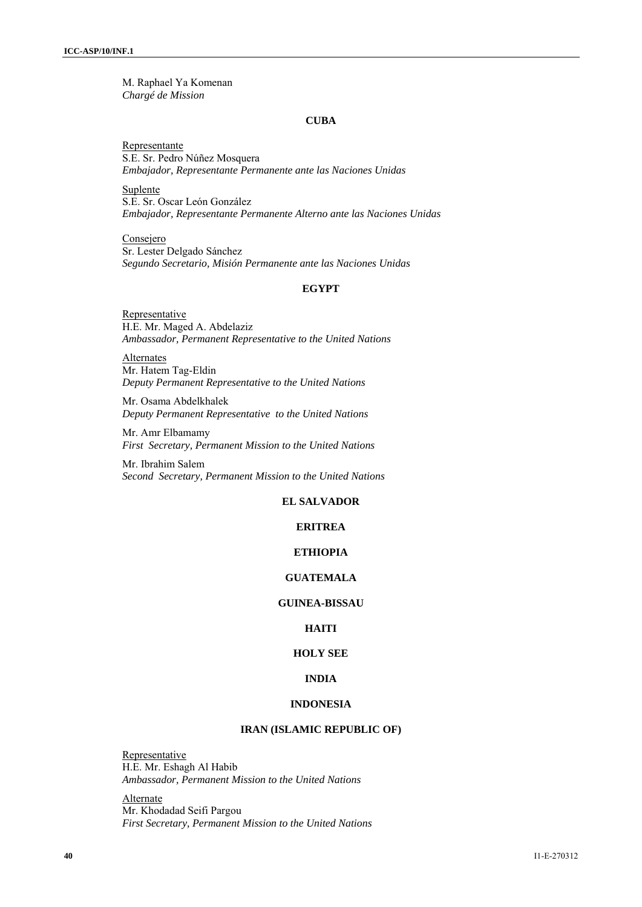M. Raphael Ya Komenan *Chargé de Mission* 

#### **CUBA**

Representante S.E. Sr. Pedro Núñez Mosquera *Embajador, Representante Permanente ante las Naciones Unidas* 

Suplente S.E. Sr. Oscar León González *Embajador, Representante Permanente Alterno ante las Naciones Unidas* 

Consejero Sr. Lester Delgado Sánchez *Segundo Secretario, Misión Permanente ante las Naciones Unidas* 

# **EGYPT**

**Representative** H.E. Mr. Maged A. Abdelaziz *Ambassador, Permanent Representative to the United Nations* 

**Alternates** Mr. Hatem Tag-Eldin *Deputy Permanent Representative to the United Nations* 

Mr. Osama Abdelkhalek *Deputy Permanent Representative to the United Nations* 

Mr. Amr Elbamamy *First Secretary, Permanent Mission to the United Nations* 

Mr. Ibrahim Salem *Second Secretary, Permanent Mission to the United Nations* 

#### **EL SALVADOR**

# **ERITREA**

# **ETHIOPIA**

#### **GUATEMALA**

#### **GUINEA-BISSAU**

# **HAITI**

# **HOLY SEE**

# **INDIA**

#### **INDONESIA**

#### **IRAN (ISLAMIC REPUBLIC OF)**

Representative H.E. Mr. Eshagh Al Habib *Ambassador, Permanent Mission to the United Nations* 

Alternate Mr. Khodadad Seifi Pargou *First Secretary, Permanent Mission to the United Nations*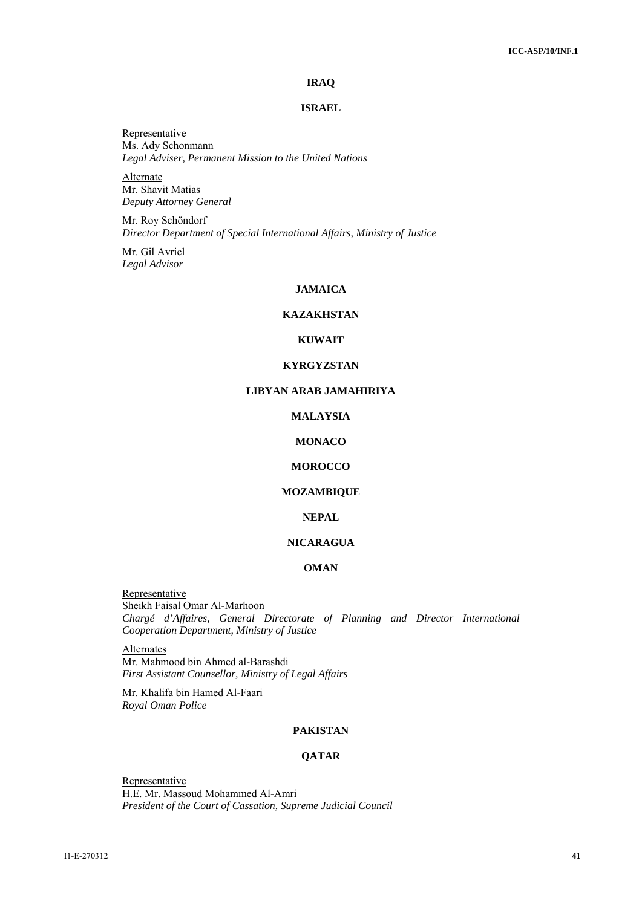# **IRAQ**

#### **ISRAEL**

**Representative** Ms. Ady Schonmann *Legal Adviser, Permanent Mission to the United Nations* 

Alternate Mr. Shavit Matias *Deputy Attorney General* 

Mr. Roy Schöndorf *Director Department of Special International Affairs, Ministry of Justice* 

Mr. Gil Avriel *Legal Advisor* 

#### **JAMAICA**

# **KAZAKHSTAN**

# **KUWAIT**

#### **KYRGYZSTAN**

#### **LIBYAN ARAB JAMAHIRIYA**

# **MALAYSIA**

#### **MONACO**

# **MOROCCO**

# **MOZAMBIQUE**

#### **NEPAL**

# **NICARAGUA**

# **OMAN**

Representative Sheikh Faisal Omar Al-Marhoon *Chargé d'Affaires, General Directorate of Planning and Director International Cooperation Department, Ministry of Justice* 

Alternates Mr. Mahmood bin Ahmed al-Barashdi *First Assistant Counsellor, Ministry of Legal Affairs* 

Mr. Khalifa bin Hamed Al-Faari *Royal Oman Police* 

# **PAKISTAN**

# **QATAR**

**Representative** H.E. Mr. Massoud Mohammed Al-Amri *President of the Court of Cassation, Supreme Judicial Council*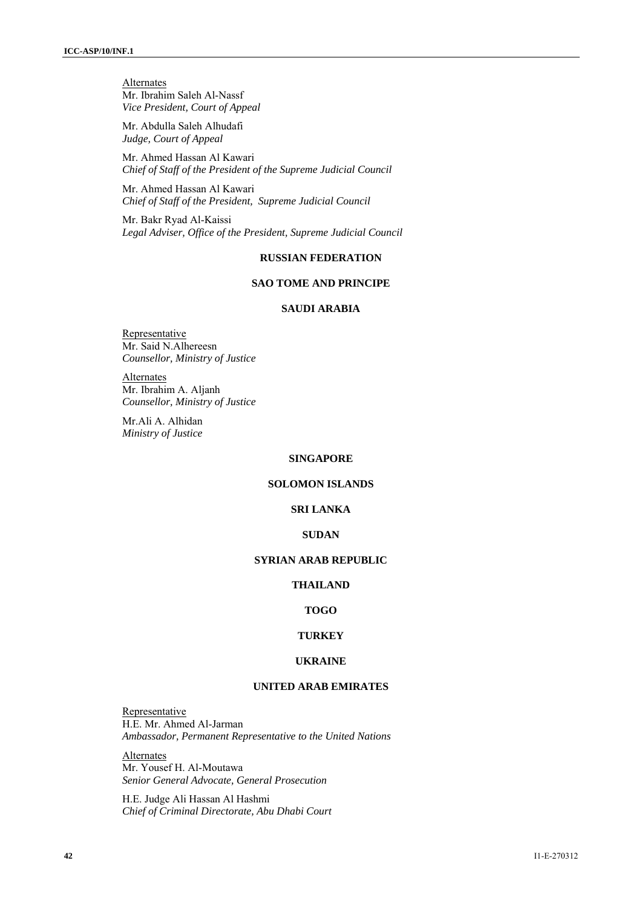**Alternates** Mr. Ibrahim Saleh Al-Nassf *Vice President, Court of Appeal* 

Mr. Abdulla Saleh Alhudafi *Judge, Court of Appeal* 

Mr. Ahmed Hassan Al Kawari *Chief of Staff of the President of the Supreme Judicial Council* 

Mr. Ahmed Hassan Al Kawari *Chief of Staff of the President, Supreme Judicial Council* 

Mr. Bakr Ryad Al-Kaissi *Legal Adviser, Office of the President, Supreme Judicial Council* 

# **RUSSIAN FEDERATION**

# **SAO TOME AND PRINCIPE**

#### **SAUDI ARABIA**

**Representative** Mr. Said N.Alhereesn *Counsellor, Ministry of Justice* 

**Alternates** Mr. Ibrahim A. Aljanh *Counsellor, Ministry of Justice* 

Mr.Ali A. Alhidan *Ministry of Justice*

# **SINGAPORE**

#### **SOLOMON ISLANDS**

# **SRI LANKA**

#### **SUDAN**

# **SYRIAN ARAB REPUBLIC**

# **THAILAND**

#### **TOGO**

#### **TURKEY**

#### **UKRAINE**

#### **UNITED ARAB EMIRATES**

**Representative** H.E. Mr. Ahmed Al-Jarman *Ambassador, Permanent Representative to the United Nations* 

Alternates Mr. Yousef H. Al-Moutawa *Senior General Advocate, General Prosecution* 

H.E. Judge Ali Hassan Al Hashmi *Chief of Criminal Directorate, Abu Dhabi Court*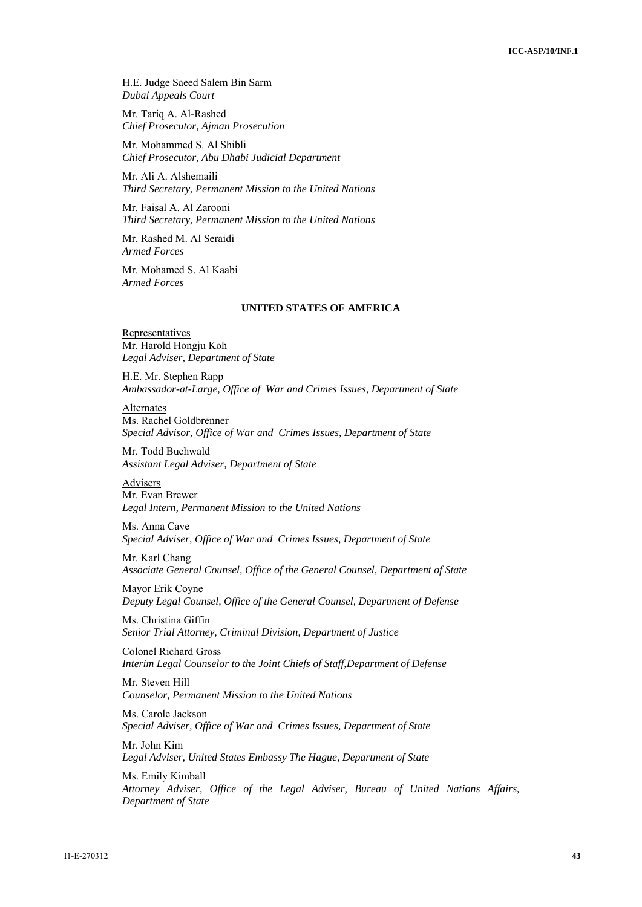H.E. Judge Saeed Salem Bin Sarm *Dubai Appeals Court* 

Mr. Tariq A. Al-Rashed *Chief Prosecutor, Ajman Prosecution* 

Mr. Mohammed S. Al Shibli *Chief Prosecutor, Abu Dhabi Judicial Department* 

Mr. Ali A. Alshemaili *Third Secretary, Permanent Mission to the United Nations* 

Mr. Faisal A. Al Zarooni *Third Secretary, Permanent Mission to the United Nations* 

Mr. Rashed M. Al Seraidi *Armed Forces* 

Mr. Mohamed S. Al Kaabi *Armed Forces* 

#### **UNITED STATES OF AMERICA**

Representatives Mr. Harold Hongju Koh *Legal Adviser, Department of State* 

H.E. Mr. Stephen Rapp *Ambassador-at-Large, Office of War and Crimes Issues, Department of State* 

Alternates Ms. Rachel Goldbrenner *Special Advisor, Office of War and Crimes Issues, Department of State* 

Mr. Todd Buchwald *Assistant Legal Adviser, Department of State* 

Advisers Mr. Evan Brewer *Legal Intern, Permanent Mission to the United Nations* 

Ms. Anna Cave *Special Adviser, Office of War and Crimes Issues, Department of State* 

Mr. Karl Chang *Associate General Counsel, Office of the General Counsel, Department of State* 

Mayor Erik Coyne *Deputy Legal Counsel, Office of the General Counsel, Department of Defense* 

Ms. Christina Giffin *Senior Trial Attorney, Criminal Division, Department of Justice* 

Colonel Richard Gross *Interim Legal Counselor to the Joint Chiefs of Staff,Department of Defense* 

Mr. Steven Hill *Counselor, Permanent Mission to the United Nations* 

Ms. Carole Jackson *Special Adviser, Office of War and Crimes Issues, Department of State* 

Mr. John Kim *Legal Adviser, United States Embassy The Hague, Department of State* 

Ms. Emily Kimball *Attorney Adviser, Office of the Legal Adviser, Bureau of United Nations Affairs, Department of State*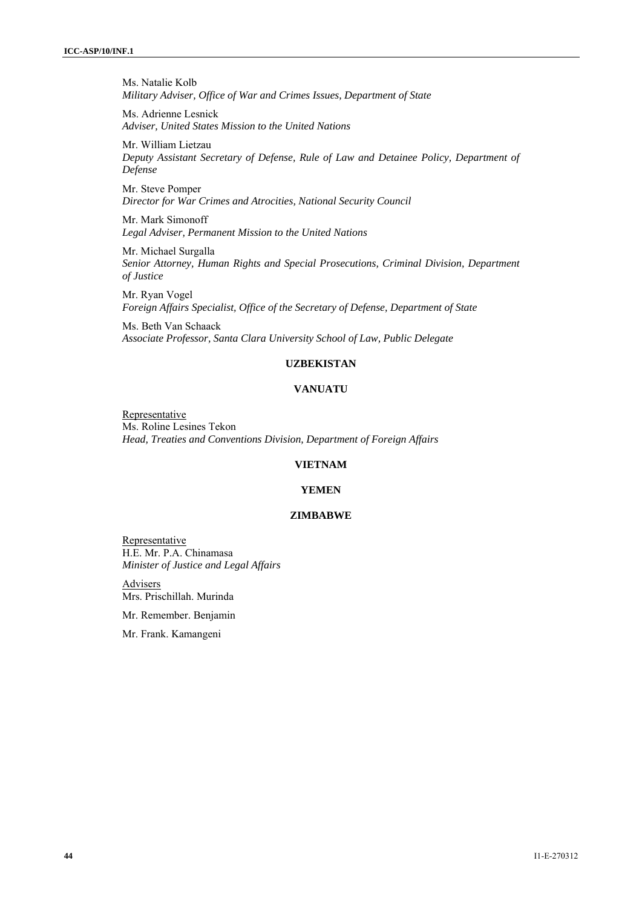Ms. Natalie Kolb *Military Adviser, Office of War and Crimes Issues, Department of State*

Ms. Adrienne Lesnick *Adviser, United States Mission to the United Nations*

Mr. William Lietzau *Deputy Assistant Secretary of Defense, Rule of Law and Detainee Policy, Department of Defense* 

Mr. Steve Pomper *Director for War Crimes and Atrocities, National Security Council* 

Mr. Mark Simonoff *Legal Adviser, Permanent Mission to the United Nations*

Mr. Michael Surgalla *Senior Attorney, Human Rights and Special Prosecutions, Criminal Division, Department of Justice*

Mr. Ryan Vogel *Foreign Affairs Specialist, Office of the Secretary of Defense, Department of State*

Ms. Beth Van Schaack *Associate Professor, Santa Clara University School of Law, Public Delegate* 

# **UZBEKISTAN**

# **VANUATU**

**Representative** Ms. Roline Lesines Tekon *Head, Treaties and Conventions Division, Department of Foreign Affairs* 

#### **VIETNAM**

#### **YEMEN**

# **ZIMBABWE**

Representative H.E. Mr. P.A. Chinamasa *Minister of Justice and Legal Affairs* 

**Advisers** Mrs. Prischillah. Murinda

Mr. Remember. Benjamin

Mr. Frank. Kamangeni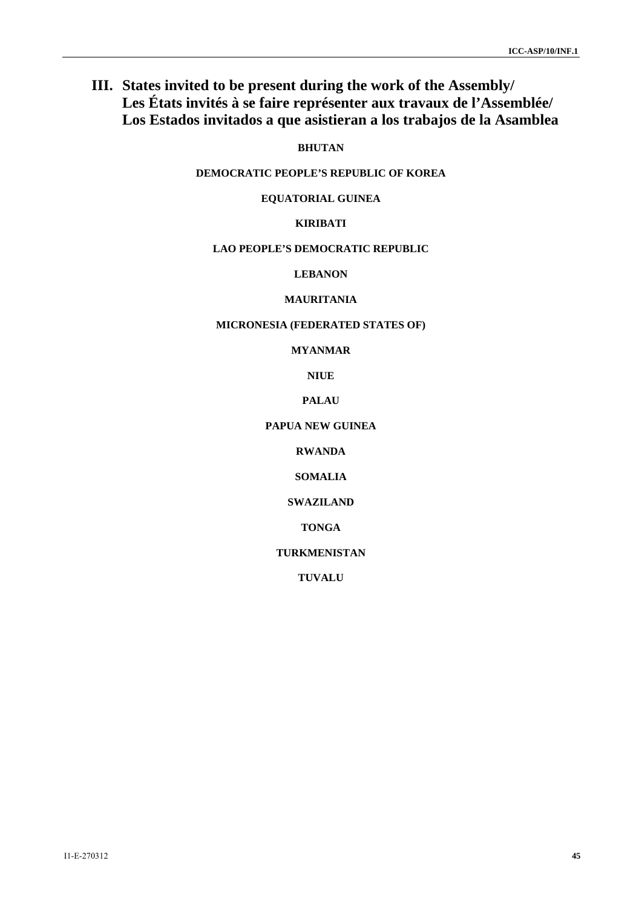# **III. States invited to be present during the work of the Assembly/ Les États invités à se faire représenter aux travaux de l'Assemblée/ Los Estados invitados a que asistieran a los trabajos de la Asamblea**

**BHUTAN** 

**DEMOCRATIC PEOPLE'S REPUBLIC OF KOREA** 

**EQUATORIAL GUINEA** 

# **KIRIBATI**

# **LAO PEOPLE'S DEMOCRATIC REPUBLIC**

**LEBANON** 

# **MAURITANIA**

# **MICRONESIA (FEDERATED STATES OF)**

**MYANMAR** 

**NIUE** 

**PALAU** 

#### **PAPUA NEW GUINEA**

**RWANDA** 

**SOMALIA** 

**SWAZILAND** 

**TONGA** 

**TURKMENISTAN** 

**TUVALU**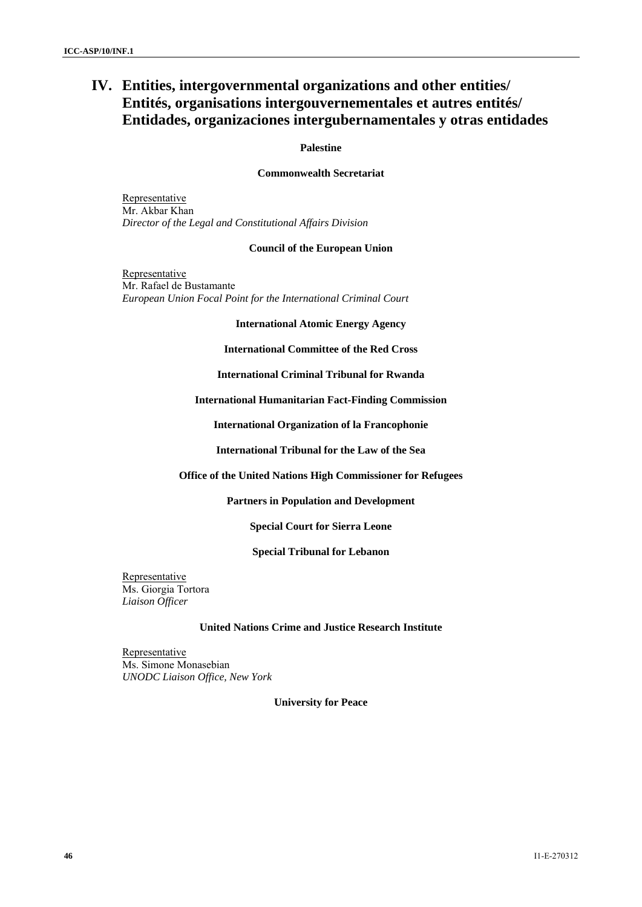# **IV. Entities, intergovernmental organizations and other entities/ Entités, organisations intergouvernementales et autres entités/ Entidades, organizaciones intergubernamentales y otras entidades**

#### **Palestine**

# **Commonwealth Secretariat**

Representative Mr. Akbar Khan *Director of the Legal and Constitutional Affairs Division* 

# **Council of the European Union**

**Representative** Mr. Rafael de Bustamante *European Union Focal Point for the International Criminal Court* 

#### **International Atomic Energy Agency**

**International Committee of the Red Cross** 

**International Criminal Tribunal for Rwanda** 

**International Humanitarian Fact-Finding Commission** 

**International Organization of la Francophonie** 

**International Tribunal for the Law of the Sea** 

# **Office of the United Nations High Commissioner for Refugees**

# **Partners in Population and Development**

**Special Court for Sierra Leone** 

# **Special Tribunal for Lebanon**

Representative Ms. Giorgia Tortora *Liaison Officer* 

#### **United Nations Crime and Justice Research Institute**

Representative Ms. Simone Monasebian *UNODC Liaison Office, New York* 

**University for Peace**